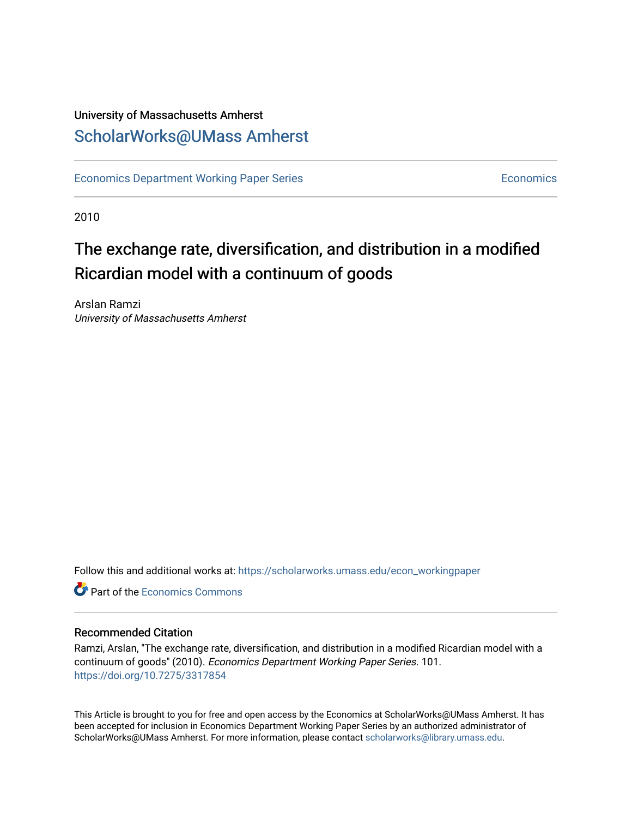### University of Massachusetts Amherst [ScholarWorks@UMass Amherst](https://scholarworks.umass.edu/)

[Economics Department Working Paper Series](https://scholarworks.umass.edu/econ_workingpaper) **Economics** [Economics](https://scholarworks.umass.edu/economics) Economics

2010

## The exchange rate, diversification, and distribution in a modified Ricardian model with a continuum of goods

Arslan Ramzi University of Massachusetts Amherst

Follow this and additional works at: [https://scholarworks.umass.edu/econ\\_workingpaper](https://scholarworks.umass.edu/econ_workingpaper?utm_source=scholarworks.umass.edu%2Fecon_workingpaper%2F101&utm_medium=PDF&utm_campaign=PDFCoverPages) 

**C** Part of the [Economics Commons](http://network.bepress.com/hgg/discipline/340?utm_source=scholarworks.umass.edu%2Fecon_workingpaper%2F101&utm_medium=PDF&utm_campaign=PDFCoverPages)

#### Recommended Citation

Ramzi, Arslan, "The exchange rate, diversification, and distribution in a modified Ricardian model with a continuum of goods" (2010). Economics Department Working Paper Series. 101. <https://doi.org/10.7275/3317854>

This Article is brought to you for free and open access by the Economics at ScholarWorks@UMass Amherst. It has been accepted for inclusion in Economics Department Working Paper Series by an authorized administrator of ScholarWorks@UMass Amherst. For more information, please contact [scholarworks@library.umass.edu.](mailto:scholarworks@library.umass.edu)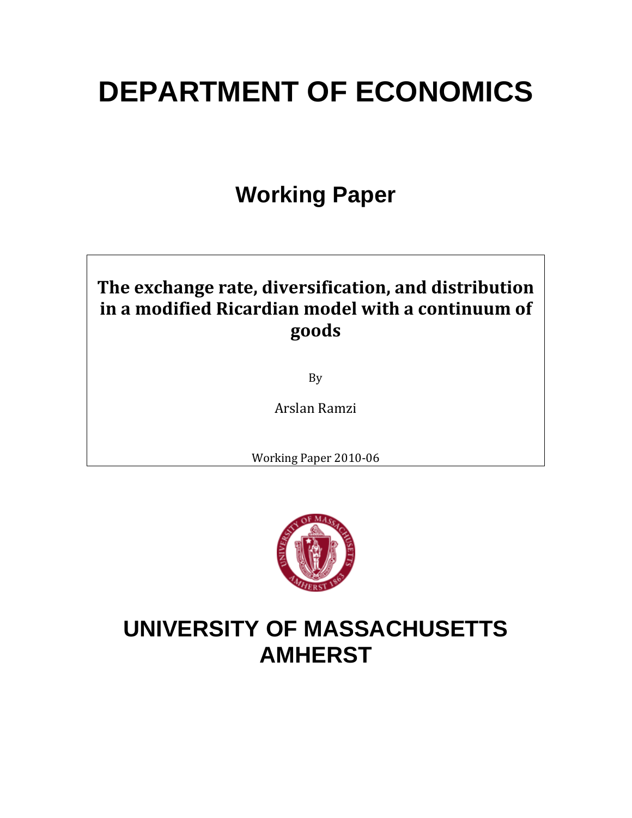# **DEPARTMENT OF ECONOMICS**

## **Working Paper**

## **The exchange rate, diversification, and distribution in a modified Ricardian model with a continuum of goods**

By

Arslan Ramzi

Working Paper 2010‐06



## **UNIVERSITY OF MASSACHUSETTS AMHERST**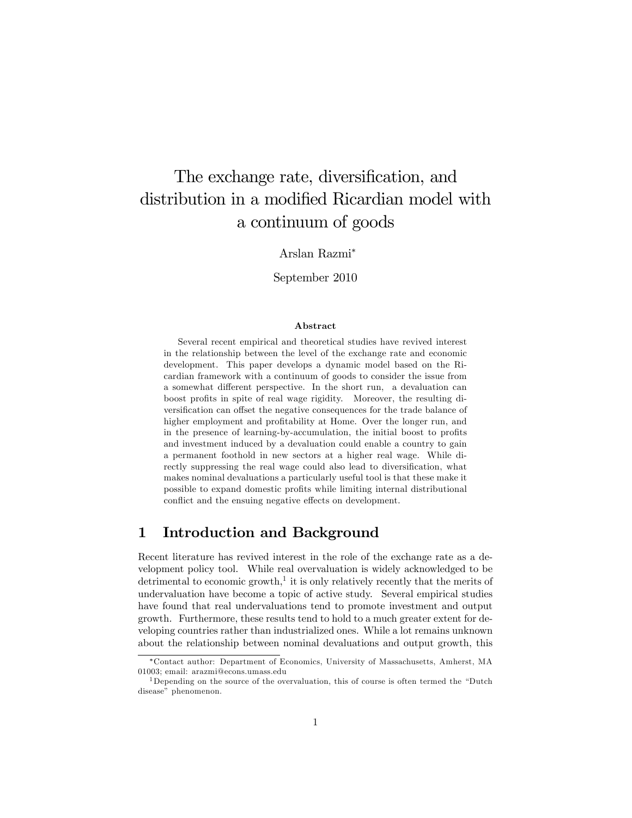### The exchange rate, diversification, and distribution in a modified Ricardian model with a continuum of goods

Arslan Razmi

September 2010

#### Abstract

Several recent empirical and theoretical studies have revived interest in the relationship between the level of the exchange rate and economic development. This paper develops a dynamic model based on the Ricardian framework with a continuum of goods to consider the issue from a somewhat different perspective. In the short run, a devaluation can boost profits in spite of real wage rigidity. Moreover, the resulting diversification can offset the negative consequences for the trade balance of higher employment and profitability at Home. Over the longer run, and in the presence of learning-by-accumulation, the initial boost to profits and investment induced by a devaluation could enable a country to gain a permanent foothold in new sectors at a higher real wage. While directly suppressing the real wage could also lead to diversification, what makes nominal devaluations a particularly useful tool is that these make it possible to expand domestic profits while limiting internal distributional conflict and the ensuing negative effects on development.

#### 1 Introduction and Background

Recent literature has revived interest in the role of the exchange rate as a development policy tool. While real overvaluation is widely acknowledged to be detrimental to economic growth,<sup>1</sup> it is only relatively recently that the merits of undervaluation have become a topic of active study. Several empirical studies have found that real undervaluations tend to promote investment and output growth. Furthermore, these results tend to hold to a much greater extent for developing countries rather than industrialized ones. While a lot remains unknown about the relationship between nominal devaluations and output growth, this

Contact author: Department of Economics, University of Massachusetts, Amherst, MA 01003; email: arazmi@econs.umass.edu

<sup>&</sup>lt;sup>1</sup>Depending on the source of the overvaluation, this of course is often termed the "Dutch disease" phenomenon.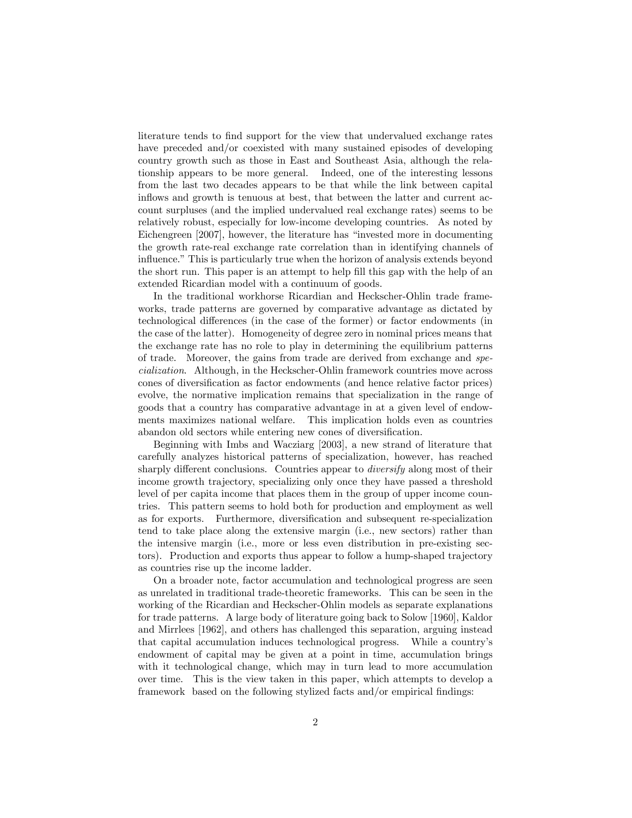literature tends to find support for the view that undervalued exchange rates have preceded and/or coexisted with many sustained episodes of developing country growth such as those in East and Southeast Asia, although the relationship appears to be more general. Indeed, one of the interesting lessons from the last two decades appears to be that while the link between capital inflows and growth is tenuous at best, that between the latter and current account surpluses (and the implied undervalued real exchange rates) seems to be relatively robust, especially for low-income developing countries. As noted by Eichengreen [2007], however, the literature has "invested more in documenting the growth rate-real exchange rate correlation than in identifying channels of influence." This is particularly true when the horizon of analysis extends beyond the short run. This paper is an attempt to help fill this gap with the help of an extended Ricardian model with a continuum of goods.

In the traditional workhorse Ricardian and Heckscher-Ohlin trade frameworks, trade patterns are governed by comparative advantage as dictated by technological differences (in the case of the former) or factor endowments (in the case of the latter). Homogeneity of degree zero in nominal prices means that the exchange rate has no role to play in determining the equilibrium patterns of trade. Moreover, the gains from trade are derived from exchange and specialization. Although, in the Heckscher-Ohlin framework countries move across cones of diversification as factor endowments (and hence relative factor prices) evolve, the normative implication remains that specialization in the range of goods that a country has comparative advantage in at a given level of endowments maximizes national welfare. This implication holds even as countries abandon old sectors while entering new cones of diversification.

Beginning with Imbs and Wacziarg [2003], a new strand of literature that carefully analyzes historical patterns of specialization, however, has reached sharply different conclusions. Countries appear to *diversify* along most of their income growth trajectory, specializing only once they have passed a threshold level of per capita income that places them in the group of upper income countries. This pattern seems to hold both for production and employment as well as for exports. Furthermore, diversification and subsequent re-specialization tend to take place along the extensive margin (i.e., new sectors) rather than the intensive margin (i.e., more or less even distribution in pre-existing sectors). Production and exports thus appear to follow a hump-shaped trajectory as countries rise up the income ladder.

On a broader note, factor accumulation and technological progress are seen as unrelated in traditional trade-theoretic frameworks. This can be seen in the working of the Ricardian and Heckscher-Ohlin models as separate explanations for trade patterns. A large body of literature going back to Solow [1960], Kaldor and Mirrlees [1962], and others has challenged this separation, arguing instead that capital accumulation induces technological progress. While a countryís endowment of capital may be given at a point in time, accumulation brings with it technological change, which may in turn lead to more accumulation over time. This is the view taken in this paper, which attempts to develop a framework based on the following stylized facts and/or empirical findings: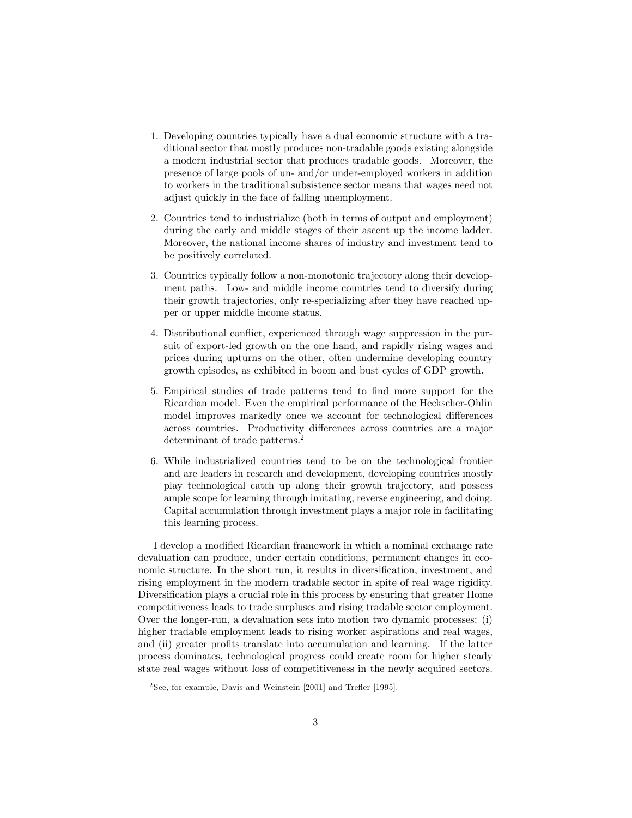- 1. Developing countries typically have a dual economic structure with a traditional sector that mostly produces non-tradable goods existing alongside a modern industrial sector that produces tradable goods. Moreover, the presence of large pools of un- and/or under-employed workers in addition to workers in the traditional subsistence sector means that wages need not adjust quickly in the face of falling unemployment.
- 2. Countries tend to industrialize (both in terms of output and employment) during the early and middle stages of their ascent up the income ladder. Moreover, the national income shares of industry and investment tend to be positively correlated.
- 3. Countries typically follow a non-monotonic trajectory along their development paths. Low- and middle income countries tend to diversify during their growth trajectories, only re-specializing after they have reached upper or upper middle income status.
- 4. Distributional conflict, experienced through wage suppression in the pursuit of export-led growth on the one hand, and rapidly rising wages and prices during upturns on the other, often undermine developing country growth episodes, as exhibited in boom and bust cycles of GDP growth.
- 5. Empirical studies of trade patterns tend to Önd more support for the Ricardian model. Even the empirical performance of the Heckscher-Ohlin model improves markedly once we account for technological differences across countries. Productivity differences across countries are a major determinant of trade patterns.<sup>2</sup>
- 6. While industrialized countries tend to be on the technological frontier and are leaders in research and development, developing countries mostly play technological catch up along their growth trajectory, and possess ample scope for learning through imitating, reverse engineering, and doing. Capital accumulation through investment plays a major role in facilitating this learning process.

I develop a modified Ricardian framework in which a nominal exchange rate devaluation can produce, under certain conditions, permanent changes in economic structure. In the short run, it results in diversification, investment, and rising employment in the modern tradable sector in spite of real wage rigidity. Diversification plays a crucial role in this process by ensuring that greater Home competitiveness leads to trade surpluses and rising tradable sector employment. Over the longer-run, a devaluation sets into motion two dynamic processes: (i) higher tradable employment leads to rising worker aspirations and real wages, and (ii) greater profits translate into accumulation and learning. If the latter process dominates, technological progress could create room for higher steady state real wages without loss of competitiveness in the newly acquired sectors.

 $2$ See, for example, Davis and Weinstein [2001] and Trefler [1995].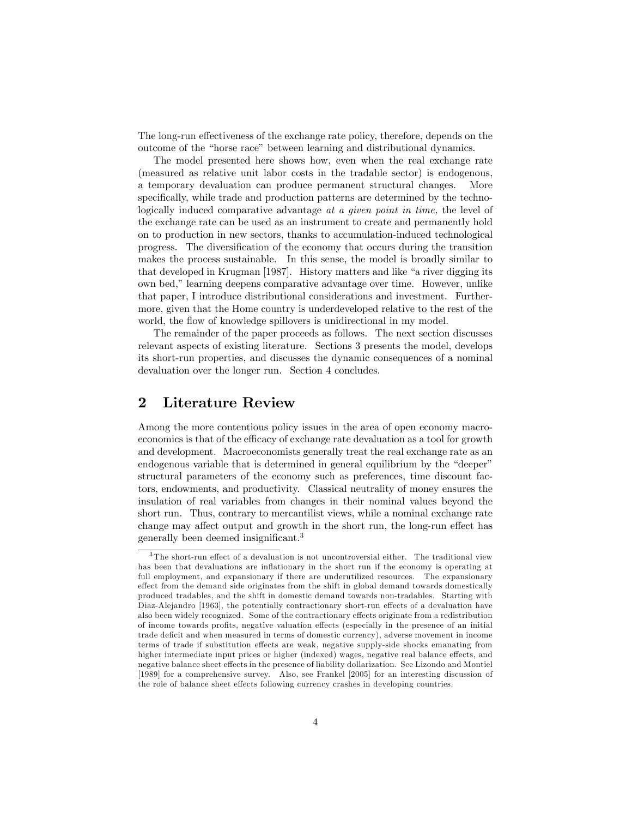The long-run effectiveness of the exchange rate policy, therefore, depends on the outcome of the "horse race" between learning and distributional dynamics.

The model presented here shows how, even when the real exchange rate (measured as relative unit labor costs in the tradable sector) is endogenous, a temporary devaluation can produce permanent structural changes. More specifically, while trade and production patterns are determined by the technologically induced comparative advantage at a given point in time, the level of the exchange rate can be used as an instrument to create and permanently hold on to production in new sectors, thanks to accumulation-induced technological progress. The diversification of the economy that occurs during the transition makes the process sustainable. In this sense, the model is broadly similar to that developed in Krugman [1987]. History matters and like "a river digging its own bed," learning deepens comparative advantage over time. However, unlike that paper, I introduce distributional considerations and investment. Furthermore, given that the Home country is underdeveloped relative to the rest of the world, the flow of knowledge spillovers is unidirectional in my model.

The remainder of the paper proceeds as follows. The next section discusses relevant aspects of existing literature. Sections 3 presents the model, develops its short-run properties, and discusses the dynamic consequences of a nominal devaluation over the longer run. Section 4 concludes.

#### 2 Literature Review

Among the more contentious policy issues in the area of open economy macroeconomics is that of the efficacy of exchange rate devaluation as a tool for growth and development. Macroeconomists generally treat the real exchange rate as an endogenous variable that is determined in general equilibrium by the "deeper" structural parameters of the economy such as preferences, time discount factors, endowments, and productivity. Classical neutrality of money ensures the insulation of real variables from changes in their nominal values beyond the short run. Thus, contrary to mercantilist views, while a nominal exchange rate change may affect output and growth in the short run, the long-run effect has generally been deemed insignificant.<sup>3</sup>

 $3$ The short-run effect of a devaluation is not uncontroversial either. The traditional view has been that devaluations are inflationary in the short run if the economy is operating at full employment, and expansionary if there are underutilized resources. The expansionary effect from the demand side originates from the shift in global demand towards domestically produced tradables, and the shift in domestic demand towards non-tradables. Starting with Diaz-Alejandro [1963], the potentially contractionary short-run effects of a devaluation have also been widely recognized. Some of the contractionary effects originate from a redistribution of income towards profits, negative valuation effects (especially in the presence of an initial trade deficit and when measured in terms of domestic currency), adverse movement in income terms of trade if substitution effects are weak, negative supply-side shocks emanating from higher intermediate input prices or higher (indexed) wages, negative real balance effects, and negative balance sheet effects in the presence of liability dollarization. See Lizondo and Montiel [1989] for a comprehensive survey. Also, see Frankel [2005] for an interesting discussion of the role of balance sheet effects following currency crashes in developing countries.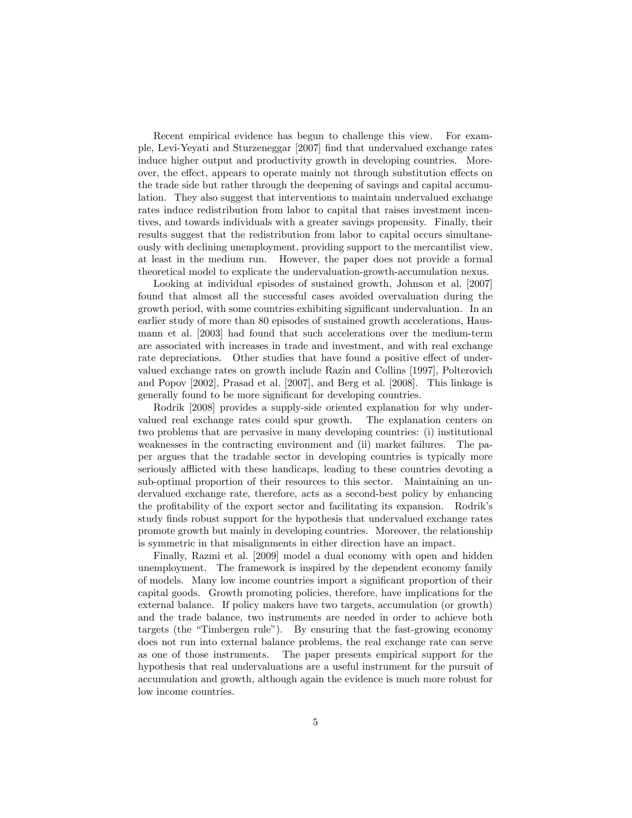Recent empirical evidence has begun to challenge this view. For example, Levi-Yeyati and Sturzeneggar [2007] find that undervalued exchange rates induce higher output and productivity growth in developing countries. Moreover, the effect, appears to operate mainly not through substitution effects on the trade side but rather through the deepening of savings and capital accumulation. They also suggest that interventions to maintain undervalued exchange rates induce redistribution from labor to capital that raises investment incentives, and towards individuals with a greater savings propensity. Finally, their results suggest that the redistribution from labor to capital occurs simultaneously with declining unemployment, providing support to the mercantilist view, at least in the medium run. However, the paper does not provide a formal theoretical model to explicate the undervaluation-growth-accumulation nexus.

Looking at individual episodes of sustained growth, Johnson et al. [2007] found that almost all the successful cases avoided overvaluation during the growth period, with some countries exhibiting significant undervaluation. In an earlier study of more than 80 episodes of sustained growth accelerations, Hausmann et al. [2003] had found that such accelerations over the medium-term are associated with increases in trade and investment, and with real exchange rate depreciations. Other studies that have found a positive effect of undervalued exchange rates on growth include Razin and Collins [1997], Polterovich and Popov [2002], Prasad et al. [2007], and Berg et al. [2008]. This linkage is generally found to be more significant for developing countries.

Rodrik [2008] provides a supply-side oriented explanation for why undervalued real exchange rates could spur growth. The explanation centers on two problems that are pervasive in many developing countries: (i) institutional weaknesses in the contracting environment and (ii) market failures. The paper argues that the tradable sector in developing countries is typically more seriously afflicted with these handicaps, leading to these countries devoting a sub-optimal proportion of their resources to this sector. Maintaining an undervalued exchange rate, therefore, acts as a second-best policy by enhancing the profitability of the export sector and facilitating its expansion. Rodrik's study Önds robust support for the hypothesis that undervalued exchange rates promote growth but mainly in developing countries. Moreover, the relationship is symmetric in that misalignments in either direction have an impact.

Finally, Razmi et al. [2009] model a dual economy with open and hidden unemployment. The framework is inspired by the dependent economy family of models. Many low income countries import a significant proportion of their capital goods. Growth promoting policies, therefore, have implications for the external balance. If policy makers have two targets, accumulation (or growth) and the trade balance, two instruments are needed in order to achieve both targets (the "Timbergen rule"). By ensuring that the fast-growing economy does not run into external balance problems, the real exchange rate can serve as one of those instruments. The paper presents empirical support for the hypothesis that real undervaluations are a useful instrument for the pursuit of accumulation and growth, although again the evidence is much more robust for low income countries.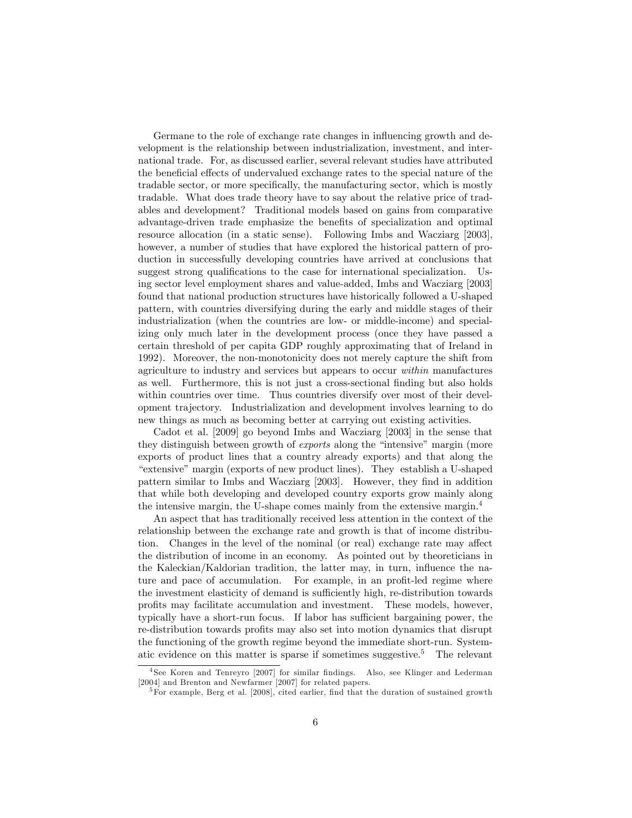Germane to the role of exchange rate changes in influencing growth and development is the relationship between industrialization, investment, and international trade. For, as discussed earlier, several relevant studies have attributed the beneficial effects of undervalued exchange rates to the special nature of the tradable sector, or more specifically, the manufacturing sector, which is mostly tradable. What does trade theory have to say about the relative price of tradables and development? Traditional models based on gains from comparative advantage-driven trade emphasize the benefits of specialization and optimal resource allocation (in a static sense). Following Imbs and Wacziarg [2003], however, a number of studies that have explored the historical pattern of production in successfully developing countries have arrived at conclusions that suggest strong qualifications to the case for international specialization. Using sector level employment shares and value-added, Imbs and Wacziarg [2003] found that national production structures have historically followed a U-shaped pattern, with countries diversifying during the early and middle stages of their industrialization (when the countries are low- or middle-income) and specializing only much later in the development process (once they have passed a certain threshold of per capita GDP roughly approximating that of Ireland in 1992). Moreover, the non-monotonicity does not merely capture the shift from agriculture to industry and services but appears to occur within manufactures as well. Furthermore, this is not just a cross-sectional finding but also holds within countries over time. Thus countries diversify over most of their development trajectory. Industrialization and development involves learning to do new things as much as becoming better at carrying out existing activities.

Cadot et al. [2009] go beyond Imbs and Wacziarg [2003] in the sense that they distinguish between growth of *exports* along the "intensive" margin (more exports of product lines that a country already exports) and that along the ìextensiveîmargin (exports of new product lines). They establish a U-shaped pattern similar to Imbs and Wacziarg [2003]. However, they find in addition that while both developing and developed country exports grow mainly along the intensive margin, the U-shape comes mainly from the extensive margin.<sup>4</sup>

An aspect that has traditionally received less attention in the context of the relationship between the exchange rate and growth is that of income distribution. Changes in the level of the nominal (or real) exchange rate may affect the distribution of income in an economy. As pointed out by theoreticians in the Kaleckian/Kaldorian tradition, the latter may, in turn, influence the nature and pace of accumulation. For example, in an profit-led regime where the investment elasticity of demand is sufficiently high, re-distribution towards proÖts may facilitate accumulation and investment. These models, however, typically have a short-run focus. If labor has sufficient bargaining power, the re-distribution towards profits may also set into motion dynamics that disrupt the functioning of the growth regime beyond the immediate short-run. Systematic evidence on this matter is sparse if sometimes suggestive.<sup>5</sup> The relevant

<sup>&</sup>lt;sup>4</sup> See Koren and Tenreyro [2007] for similar findings. Also, see Klinger and Lederman [2004] and Brenton and Newfarmer [2007] for related papers.

 $5$  For example, Berg et al. [2008], cited earlier, find that the duration of sustained growth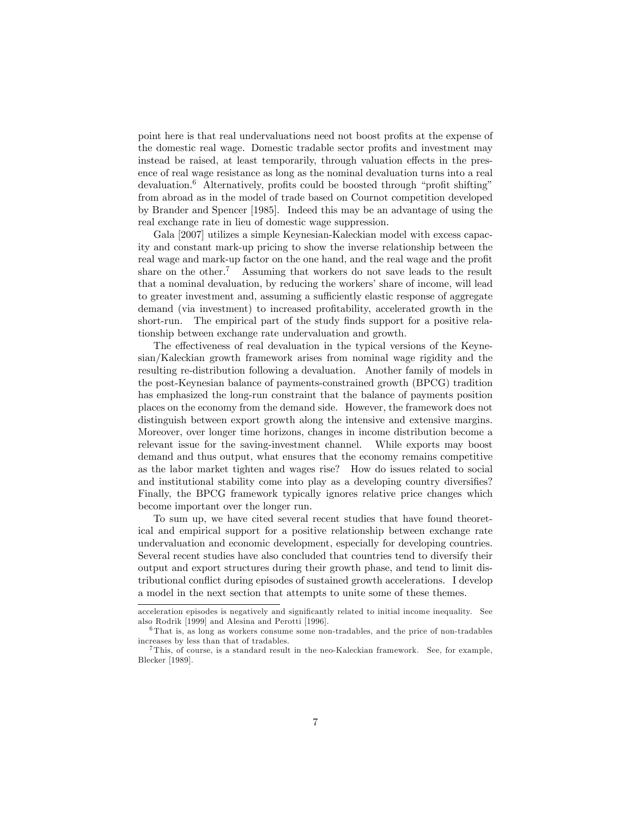point here is that real undervaluations need not boost profits at the expense of the domestic real wage. Domestic tradable sector profits and investment may instead be raised, at least temporarily, through valuation effects in the presence of real wage resistance as long as the nominal devaluation turns into a real devaluation.<sup>6</sup> Alternatively, profits could be boosted through "profit shifting" from abroad as in the model of trade based on Cournot competition developed by Brander and Spencer [1985]. Indeed this may be an advantage of using the real exchange rate in lieu of domestic wage suppression.

Gala [2007] utilizes a simple Keynesian-Kaleckian model with excess capacity and constant mark-up pricing to show the inverse relationship between the real wage and mark-up factor on the one hand, and the real wage and the profit share on the other.<sup>7</sup> Assuming that workers do not save leads to the result that a nominal devaluation, by reducing the workers' share of income, will lead to greater investment and, assuming a sufficiently elastic response of aggregate demand (via investment) to increased profitability, accelerated growth in the short-run. The empirical part of the study finds support for a positive relationship between exchange rate undervaluation and growth.

The effectiveness of real devaluation in the typical versions of the Keynesian/Kaleckian growth framework arises from nominal wage rigidity and the resulting re-distribution following a devaluation. Another family of models in the post-Keynesian balance of payments-constrained growth (BPCG) tradition has emphasized the long-run constraint that the balance of payments position places on the economy from the demand side. However, the framework does not distinguish between export growth along the intensive and extensive margins. Moreover, over longer time horizons, changes in income distribution become a relevant issue for the saving-investment channel. While exports may boost demand and thus output, what ensures that the economy remains competitive as the labor market tighten and wages rise? How do issues related to social and institutional stability come into play as a developing country diversifies? Finally, the BPCG framework typically ignores relative price changes which become important over the longer run.

To sum up, we have cited several recent studies that have found theoretical and empirical support for a positive relationship between exchange rate undervaluation and economic development, especially for developing countries. Several recent studies have also concluded that countries tend to diversify their output and export structures during their growth phase, and tend to limit distributional conflict during episodes of sustained growth accelerations. I develop a model in the next section that attempts to unite some of these themes.

acceleration episodes is negatively and significantly related to initial income inequality. See also Rodrik [1999] and Alesina and Perotti [1996].

<sup>6</sup> That is, as long as workers consume some non-tradables, and the price of non-tradables increases by less than that of tradables.

<sup>7</sup> This, of course, is a standard result in the neo-Kaleckian framework. See, for example, Blecker [1989].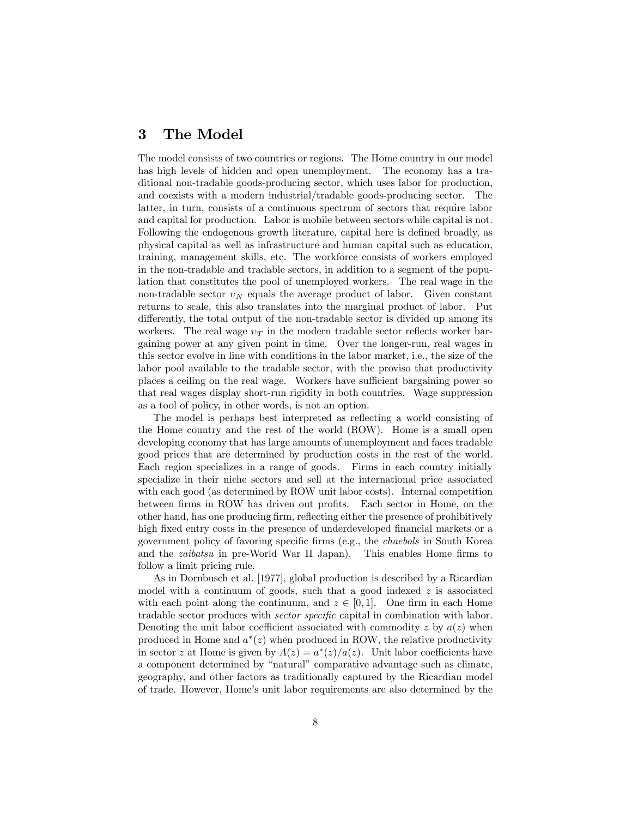#### 3 The Model

The model consists of two countries or regions. The Home country in our model has high levels of hidden and open unemployment. The economy has a traditional non-tradable goods-producing sector, which uses labor for production, and coexists with a modern industrial/tradable goods-producing sector. The latter, in turn, consists of a continuous spectrum of sectors that require labor and capital for production. Labor is mobile between sectors while capital is not. Following the endogenous growth literature, capital here is defined broadly, as physical capital as well as infrastructure and human capital such as education, training, management skills, etc. The workforce consists of workers employed in the non-tradable and tradable sectors, in addition to a segment of the population that constitutes the pool of unemployed workers. The real wage in the non-tradable sector  $v_N$  equals the average product of labor. Given constant returns to scale, this also translates into the marginal product of labor. Put differently, the total output of the non-tradable sector is divided up among its workers. The real wage  $v_T$  in the modern tradable sector reflects worker bargaining power at any given point in time. Over the longer-run, real wages in this sector evolve in line with conditions in the labor market, i.e., the size of the labor pool available to the tradable sector, with the proviso that productivity places a ceiling on the real wage. Workers have sufficient bargaining power so that real wages display short-run rigidity in both countries. Wage suppression as a tool of policy, in other words, is not an option.

The model is perhaps best interpreted as reflecting a world consisting of the Home country and the rest of the world (ROW). Home is a small open developing economy that has large amounts of unemployment and faces tradable good prices that are determined by production costs in the rest of the world. Each region specializes in a range of goods. Firms in each country initially specialize in their niche sectors and sell at the international price associated with each good (as determined by ROW unit labor costs). Internal competition between firms in ROW has driven out profits. Each sector in Home, on the other hand, has one producing firm, reflecting either the presence of prohibitively high fixed entry costs in the presence of underdeveloped financial markets or a government policy of favoring specific firms (e.g., the *chaebols* in South Korea and the *zaibatsu* in pre-World War II Japan). This enables Home firms to follow a limit pricing rule.

As in Dornbusch et al. [1977], global production is described by a Ricardian model with a continuum of goods, such that a good indexed  $z$  is associated with each point along the continuum, and  $z \in [0, 1]$ . One firm in each Home tradable sector produces with *sector specific* capital in combination with labor. Denoting the unit labor coefficient associated with commodity z by  $a(z)$  when produced in Home and  $a^*(z)$  when produced in ROW, the relative productivity in sector z at Home is given by  $A(z) = a^*(z)/a(z)$ . Unit labor coefficients have a component determined by "natural" comparative advantage such as climate, geography, and other factors as traditionally captured by the Ricardian model of trade. However, Homeís unit labor requirements are also determined by the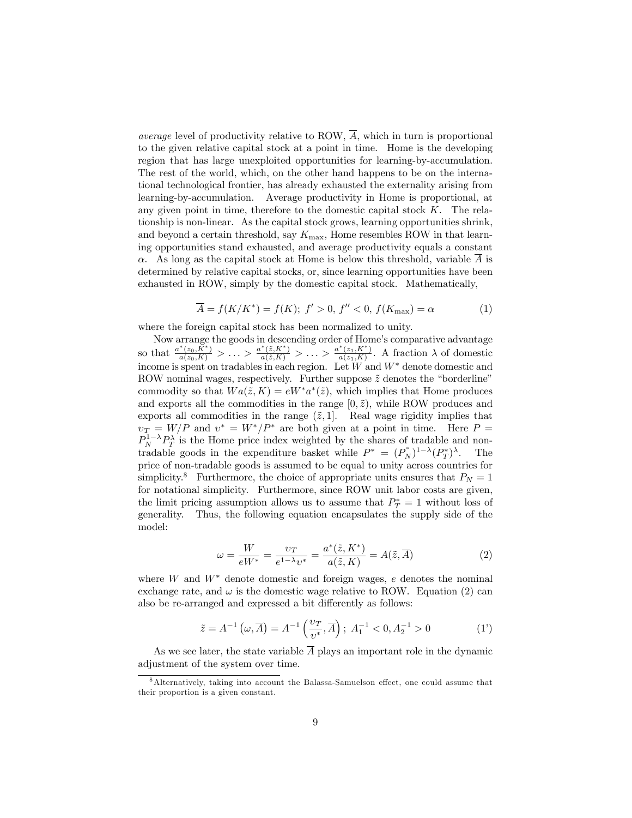*average* level of productivity relative to ROW,  $\overline{A}$ , which in turn is proportional to the given relative capital stock at a point in time. Home is the developing region that has large unexploited opportunities for learning-by-accumulation. The rest of the world, which, on the other hand happens to be on the international technological frontier, has already exhausted the externality arising from learning-by-accumulation. Average productivity in Home is proportional, at any given point in time, therefore to the domestic capital stock  $K$ . The relationship is non-linear. As the capital stock grows, learning opportunities shrink, and beyond a certain threshold, say  $K_{\text{max}}$ , Home resembles ROW in that learning opportunities stand exhausted, and average productivity equals a constant  $\alpha$ . As long as the capital stock at Home is below this threshold, variable  $\overline{A}$  is determined by relative capital stocks, or, since learning opportunities have been exhausted in ROW, simply by the domestic capital stock. Mathematically,

$$
\overline{A} = f(K/K^*) = f(K); \ f' > 0, \ f'' < 0, \ f(K_{\text{max}}) = \alpha \tag{1}
$$

where the foreign capital stock has been normalized to unity.

Now arrange the goods in descending order of Home's comparative advantage so that  $\frac{a^*(z_0, K^*)}{a(z_0, K)} > \ldots > \frac{a^*(z, K^*)}{a(z, K)} > \ldots > \frac{a^*(z_1, K^*)}{a(z_1, K)}$  $\frac{(z_1,\mathbf{K})}{a(z_1,K)}$ . A fraction  $\lambda$  of domestic income is spent on tradables in each region. Let  $W$  and  $W^*$  denote domestic and ROW nominal wages, respectively. Further suppose  $\tilde{z}$  denotes the "borderline" commodity so that  $Wa(\tilde{z}, K) = eW^* a^*(\tilde{z})$ , which implies that Home produces and exports all the commodities in the range  $[0, \tilde{z})$ , while ROW produces and exports all commodities in the range  $(\tilde{z}, 1]$ . Real wage rigidity implies that  $v_T = W/P$  and  $v^* = W^*/P^*$  are both given at a point in time. Here  $P =$  $P_N^{1-\lambda}P_T^{\lambda}$  is the Home price index weighted by the shares of tradable and nontradable goods in the expenditure basket while  $P^* = (P_N^*)^{1-\lambda}(P_T^*)^{\lambda}$ . The price of non-tradable goods is assumed to be equal to unity across countries for simplicity.<sup>8</sup> Furthermore, the choice of appropriate units ensures that  $P_N = 1$ for notational simplicity. Furthermore, since ROW unit labor costs are given, the limit pricing assumption allows us to assume that  $P_T^* = 1$  without loss of generality. Thus, the following equation encapsulates the supply side of the model:

$$
\omega = \frac{W}{eW^*} = \frac{v_T}{e^{1-\lambda}v^*} = \frac{a^*(\tilde{z}, K^*)}{a(\tilde{z}, K)} = A(\tilde{z}, \overline{A})\tag{2}
$$

where  $W$  and  $W^*$  denote domestic and foreign wages,  $e$  denotes the nominal exchange rate, and  $\omega$  is the domestic wage relative to ROW. Equation (2) can also be re-arranged and expressed a bit differently as follows:

$$
\tilde{z} = A^{-1}(\omega, \overline{A}) = A^{-1}\left(\frac{\nu_T}{\nu^*}, \overline{A}\right); A_1^{-1} < 0, A_2^{-1} > 0 \tag{1'}
$$

As we see later, the state variable  $\overline{A}$  plays an important role in the dynamic adjustment of the system over time.

 $8$ Alternatively, taking into account the Balassa-Samuelson effect, one could assume that their proportion is a given constant.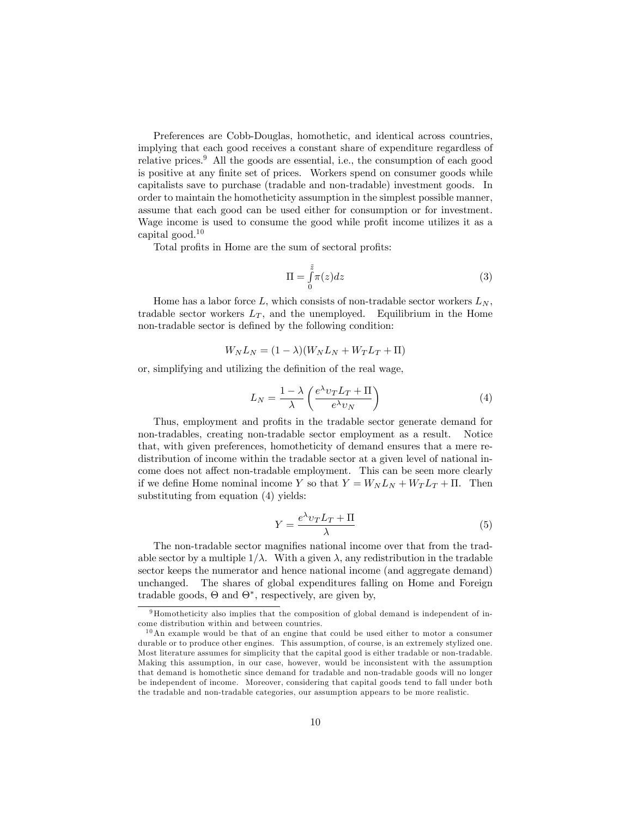Preferences are Cobb-Douglas, homothetic, and identical across countries, implying that each good receives a constant share of expenditure regardless of relative prices.<sup>9</sup> All the goods are essential, i.e., the consumption of each good is positive at any finite set of prices. Workers spend on consumer goods while capitalists save to purchase (tradable and non-tradable) investment goods. In order to maintain the homotheticity assumption in the simplest possible manner, assume that each good can be used either for consumption or for investment. Wage income is used to consume the good while profit income utilizes it as a capital good.<sup>10</sup>

Total profits in Home are the sum of sectoral profits:

$$
\Pi = \int_{0}^{\tilde{z}} \pi(z) dz
$$
 (3)

Home has a labor force L, which consists of non-tradable sector workers  $L_N$ , tradable sector workers  $L_T$ , and the unemployed. Equilibrium in the Home non-tradable sector is defined by the following condition:

$$
W_N L_N = (1 - \lambda)(W_N L_N + W_T L_T + \Pi)
$$

or, simplifying and utilizing the definition of the real wage,

$$
L_N = \frac{1 - \lambda}{\lambda} \left( \frac{e^{\lambda} v_T L_T + \Pi}{e^{\lambda} v_N} \right) \tag{4}
$$

Thus, employment and profits in the tradable sector generate demand for non-tradables, creating non-tradable sector employment as a result. Notice that, with given preferences, homotheticity of demand ensures that a mere redistribution of income within the tradable sector at a given level of national income does not affect non-tradable employment. This can be seen more clearly if we define Home nominal income Y so that  $Y = W_N L_N + W_T L_T + \Pi$ . Then substituting from equation (4) yields:

$$
Y = \frac{e^{\lambda}v_T L_T + \Pi}{\lambda} \tag{5}
$$

The non-tradable sector magnifies national income over that from the tradable sector by a multiple  $1/\lambda$ . With a given  $\lambda$ , any redistribution in the tradable sector keeps the numerator and hence national income (and aggregate demand) unchanged. The shares of global expenditures falling on Home and Foreign tradable goods,  $\Theta$  and  $\Theta^*$ , respectively, are given by,

<sup>9</sup>Homotheticity also implies that the composition of global demand is independent of income distribution within and between countries.

 $10$ An example would be that of an engine that could be used either to motor a consumer durable or to produce other engines. This assumption, of course, is an extremely stylized one. Most literature assumes for simplicity that the capital good is either tradable or non-tradable. Making this assumption, in our case, however, would be inconsistent with the assumption that demand is homothetic since demand for tradable and non-tradable goods will no longer be independent of income. Moreover, considering that capital goods tend to fall under both the tradable and non-tradable categories, our assumption appears to be more realistic.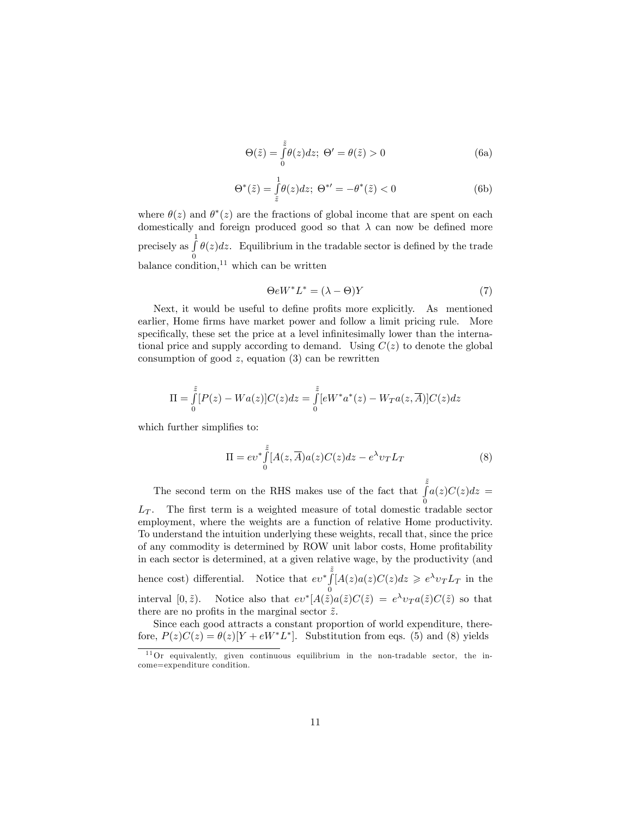$$
\Theta(\tilde{z}) = \int_{0}^{\tilde{z}} \theta(z) dz; \ \Theta' = \theta(\tilde{z}) > 0 \tag{6a}
$$

$$
\Theta^*(\tilde{z}) = \int_{\tilde{z}}^1 \theta(z) dz; \ \Theta^{*'} = -\theta^*(\tilde{z}) < 0 \tag{6b}
$$

where  $\theta(z)$  and  $\theta^*(z)$  are the fractions of global income that are spent on each domestically and foreign produced good so that  $\lambda$  can now be defined more precisely as  $\int_0^1$ 0  $\theta(z)dz$ . Equilibrium in the tradable sector is defined by the trade balance condition, $11$  which can be written

$$
\Theta e W^* L^* = (\lambda - \Theta) Y \tag{7}
$$

Next, it would be useful to define profits more explicitly. As mentioned earlier, Home firms have market power and follow a limit pricing rule. More specifically, these set the price at a level infinitesimally lower than the international price and supply according to demand. Using  $C(z)$  to denote the global consumption of good  $z$ , equation  $(3)$  can be rewritten

$$
\Pi = \int_{0}^{\tilde{z}} [P(z) - Wa(z)]C(z)dz = \int_{0}^{\tilde{z}} [eW^*a^*(z) - W_Ta(z, \overline{A})]C(z)dz
$$

which further simplifies to:

$$
\Pi = ev^* \int_0^{\tilde{z}} [A(z, \overline{A}) a(z) C(z) dz - e^{\lambda} v_T L_T \tag{8}
$$

The second term on the RHS makes use of the fact that  $\int_{a}^{\tilde{z}}$ 0  $a(z)C(z)dz =$  $L_T$ . The first term is a weighted measure of total domestic tradable sector employment, where the weights are a function of relative Home productivity. To understand the intuition underlying these weights, recall that, since the price of any commodity is determined by ROW unit labor costs, Home profitability in each sector is determined, at a given relative wage, by the productivity (and hence cost) differential. Notice that  $ev^* \tilde{f}$  $\int_{0} [A(z)a(z)C(z)dz \geq e^{\lambda}v_{T}L_{T}$  in the interval  $[0, \tilde{z})$ . Notice also that  $ev^*[A(\tilde{z})a(\tilde{z})C(\tilde{z})] = e^{\lambda}v_Ta(\tilde{z})C(\tilde{z})$  so that there are no profits in the marginal sector  $\tilde{z}$ .

Since each good attracts a constant proportion of world expenditure, therefore,  $P(z)C(z) = \theta(z)[Y + eW^*L^*]$ . Substitution from eqs. (5) and (8) yields

<sup>1 1</sup>Or equivalently, given continuous equilibrium in the non-tradable sector, the income=expenditure condition.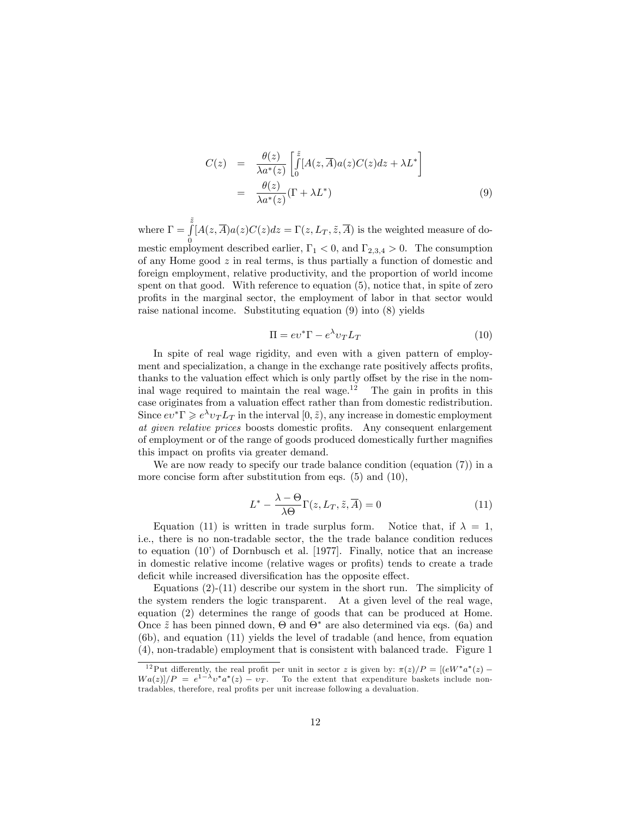$$
C(z) = \frac{\theta(z)}{\lambda a^*(z)} \left[ \int_0^{\tilde{z}} [A(z, \overline{A}) a(z) C(z) dz + \lambda L^* \right]
$$
  

$$
= \frac{\theta(z)}{\lambda a^*(z)} (\Gamma + \lambda L^*)
$$
(9)

where  $\Gamma = \int\limits_{0}^{z}$  $\int_{0} [A(z, A)a(z)C(z)dz = \Gamma(z, L_T, \tilde{z}, A)$  is the weighted measure of do-

mestic employment described earlier,  $\Gamma_1 < 0$ , and  $\Gamma_{2,3,4} > 0$ . The consumption of any Home good z in real terms, is thus partially a function of domestic and foreign employment, relative productivity, and the proportion of world income spent on that good. With reference to equation (5), notice that, in spite of zero proÖts in the marginal sector, the employment of labor in that sector would raise national income. Substituting equation (9) into (8) yields

$$
\Pi = ev^* \Gamma - e^{\lambda} v_T L_T \tag{10}
$$

In spite of real wage rigidity, and even with a given pattern of employment and specialization, a change in the exchange rate positively affects profits, thanks to the valuation effect which is only partly offset by the rise in the nominal wage required to maintain the real wage.<sup>12</sup> The gain in profits in this case originates from a valuation effect rather than from domestic redistribution. Since  $ev^*\Gamma \geqslant e^{\lambda}v_T L_T$  in the interval  $[0, \tilde{z})$ , any increase in domestic employment at given relative prices boosts domestic profits. Any consequent enlargement of employment or of the range of goods produced domestically further magnifies this impact on profits via greater demand.

We are now ready to specify our trade balance condition (equation  $(7)$ ) in a more concise form after substitution from eqs. (5) and (10),

$$
L^* - \frac{\lambda - \Theta}{\lambda \Theta} \Gamma(z, L_T, \tilde{z}, \overline{A}) = 0 \tag{11}
$$

Equation (11) is written in trade surplus form. Notice that, if  $\lambda = 1$ , i.e., there is no non-tradable sector, the the trade balance condition reduces to equation  $(10^{\circ})$  of Dornbusch et al. [1977]. Finally, notice that an increase in domestic relative income (relative wages or profits) tends to create a trade deficit while increased diversification has the opposite effect.

Equations  $(2)-(11)$  describe our system in the short run. The simplicity of the system renders the logic transparent. At a given level of the real wage, equation (2) determines the range of goods that can be produced at Home. Once  $\tilde{z}$  has been pinned down,  $\Theta$  and  $\Theta^*$  are also determined via eqs. (6a) and (6b), and equation (11) yields the level of tradable (and hence, from equation (4), non-tradable) employment that is consistent with balanced trade. Figure 1

<sup>&</sup>lt;sup>12</sup>Put differently, the real profit per unit in sector z is given by:  $\pi(z)/P = [(eW^*a^*(z) Wa(z)/P = e^{1-\lambda}v^*a^*(z) - v_T$ . To the extent that expenditure baskets include nontradables, therefore, real profits per unit increase following a devaluation.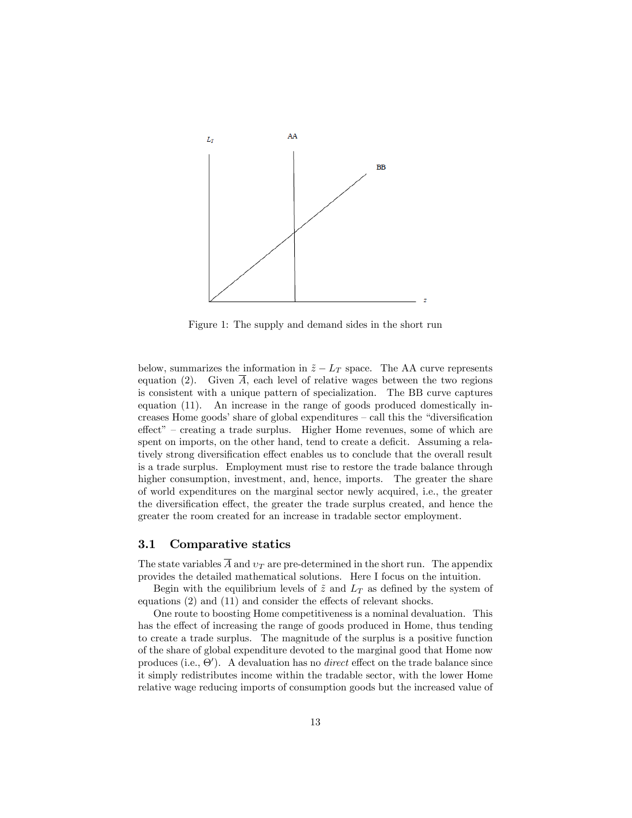

Figure 1: The supply and demand sides in the short run

below, summarizes the information in  $\tilde{z} - L_T$  space. The AA curve represents equation (2). Given  $\overline{A}$ , each level of relative wages between the two regions is consistent with a unique pattern of specialization. The BB curve captures equation (11). An increase in the range of goods produced domestically increases Home goods' share of global expenditures  $-$  call this the "diversification"  $effect"$  – creating a trade surplus. Higher Home revenues, some of which are spent on imports, on the other hand, tend to create a deficit. Assuming a relatively strong diversification effect enables us to conclude that the overall result is a trade surplus. Employment must rise to restore the trade balance through higher consumption, investment, and, hence, imports. The greater the share of world expenditures on the marginal sector newly acquired, i.e., the greater the diversification effect, the greater the trade surplus created, and hence the greater the room created for an increase in tradable sector employment.

#### 3.1 Comparative statics

The state variables  $\overline{A}$  and  $v_T$  are pre-determined in the short run. The appendix provides the detailed mathematical solutions. Here I focus on the intuition.

Begin with the equilibrium levels of  $\tilde{z}$  and  $L_T$  as defined by the system of equations  $(2)$  and  $(11)$  and consider the effects of relevant shocks.

One route to boosting Home competitiveness is a nominal devaluation. This has the effect of increasing the range of goods produced in Home, thus tending to create a trade surplus. The magnitude of the surplus is a positive function of the share of global expenditure devoted to the marginal good that Home now produces (i.e.,  $\Theta'$ ). A devaluation has no *direct* effect on the trade balance since it simply redistributes income within the tradable sector, with the lower Home relative wage reducing imports of consumption goods but the increased value of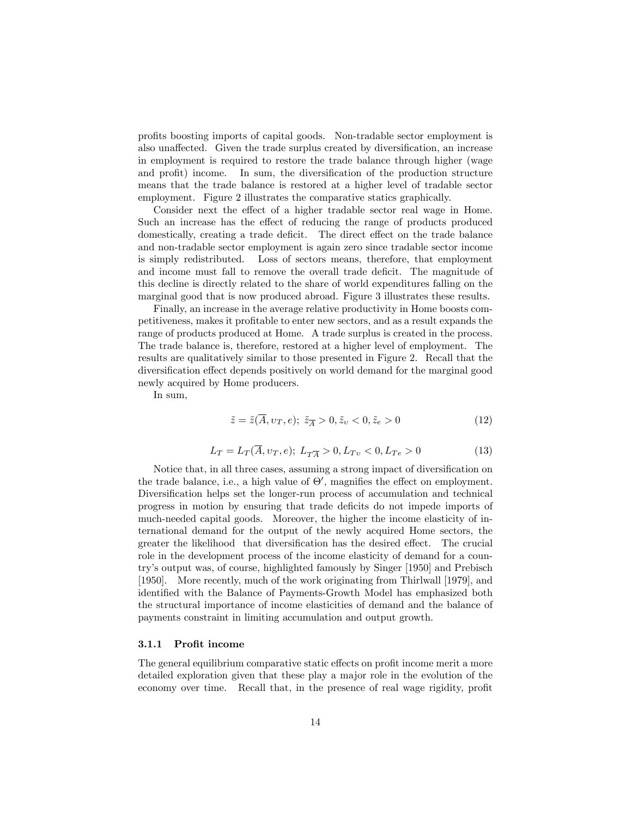profits boosting imports of capital goods. Non-tradable sector employment is also unaffected. Given the trade surplus created by diversification, an increase in employment is required to restore the trade balance through higher (wage and profit) income. In sum, the diversification of the production structure means that the trade balance is restored at a higher level of tradable sector employment. Figure 2 illustrates the comparative statics graphically.

Consider next the effect of a higher tradable sector real wage in Home. Such an increase has the effect of reducing the range of products produced domestically, creating a trade deficit. The direct effect on the trade balance and non-tradable sector employment is again zero since tradable sector income is simply redistributed. Loss of sectors means, therefore, that employment and income must fall to remove the overall trade deficit. The magnitude of this decline is directly related to the share of world expenditures falling on the marginal good that is now produced abroad. Figure 3 illustrates these results.

Finally, an increase in the average relative productivity in Home boosts competitiveness, makes it profitable to enter new sectors, and as a result expands the range of products produced at Home. A trade surplus is created in the process. The trade balance is, therefore, restored at a higher level of employment. The results are qualitatively similar to those presented in Figure 2. Recall that the diversification effect depends positively on world demand for the marginal good newly acquired by Home producers.

In sum,

$$
\tilde{z} = \tilde{z}(\overline{A}, v_T, e); \; \tilde{z}_{\overline{A}} > 0, \tilde{z}_v < 0, \tilde{z}_e > 0 \tag{12}
$$

$$
L_T = L_T(\overline{A}, v_T, e); L_{T\overline{A}} > 0, L_{Tv} < 0, L_{Te} > 0
$$
\n(13)

Notice that, in all three cases, assuming a strong impact of diversification on the trade balance, i.e., a high value of  $\Theta'$ , magnifies the effect on employment. Diversification helps set the longer-run process of accumulation and technical progress in motion by ensuring that trade deÖcits do not impede imports of much-needed capital goods. Moreover, the higher the income elasticity of international demand for the output of the newly acquired Home sectors, the greater the likelihood that diversification has the desired effect. The crucial role in the development process of the income elasticity of demand for a countryís output was, of course, highlighted famously by Singer [1950] and Prebisch [1950]. More recently, much of the work originating from Thirlwall [1979], and identified with the Balance of Payments-Growth Model has emphasized both the structural importance of income elasticities of demand and the balance of payments constraint in limiting accumulation and output growth.

#### 3.1.1 Profit income

The general equilibrium comparative static effects on profit income merit a more detailed exploration given that these play a major role in the evolution of the economy over time. Recall that, in the presence of real wage rigidity, profit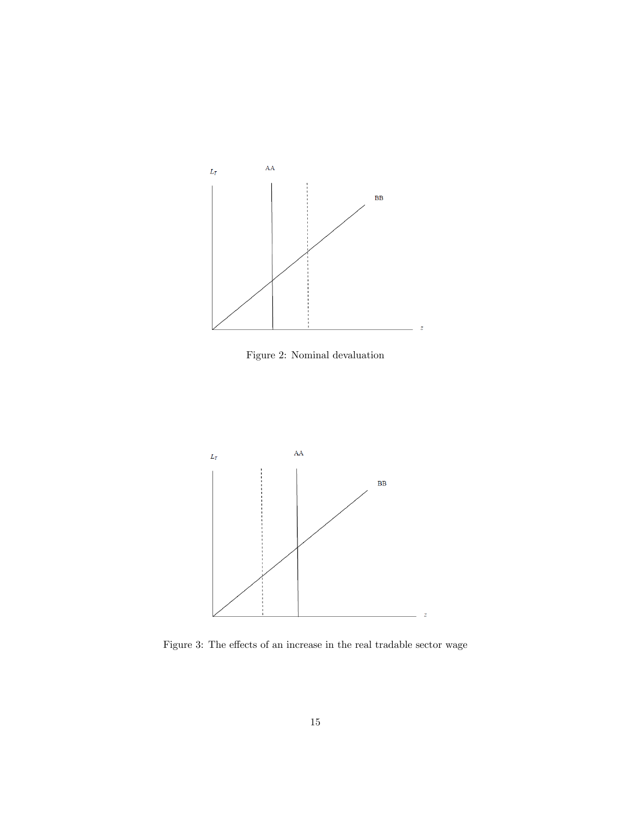

Figure 2: Nominal devaluation



Figure 3: The effects of an increase in the real tradable sector wage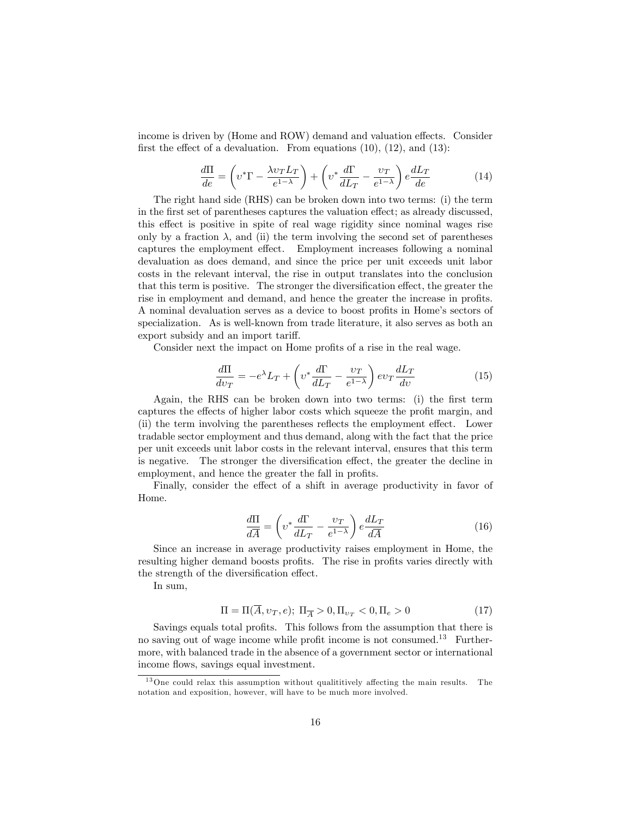income is driven by (Home and ROW) demand and valuation effects. Consider first the effect of a devaluation. From equations  $(10)$ ,  $(12)$ , and  $(13)$ :

$$
\frac{d\Pi}{de} = \left(\upsilon^*\Gamma - \frac{\lambda\upsilon_T L_T}{e^{1-\lambda}}\right) + \left(\upsilon^*\frac{d\Gamma}{dL_T} - \frac{\upsilon_T}{e^{1-\lambda}}\right)e\frac{dL_T}{de} \tag{14}
$$

The right hand side (RHS) can be broken down into two terms: (i) the term in the first set of parentheses captures the valuation effect; as already discussed, this effect is positive in spite of real wage rigidity since nominal wages rise only by a fraction  $\lambda$ , and (ii) the term involving the second set of parentheses captures the employment effect. Employment increases following a nominal devaluation as does demand, and since the price per unit exceeds unit labor costs in the relevant interval, the rise in output translates into the conclusion that this term is positive. The stronger the diversification effect, the greater the rise in employment and demand, and hence the greater the increase in profits. A nominal devaluation serves as a device to boost profits in Home's sectors of specialization. As is well-known from trade literature, it also serves as both an export subsidy and an import tariff.

Consider next the impact on Home profits of a rise in the real wage.

$$
\frac{d\Pi}{dv_T} = -e^{\lambda}L_T + \left(v^*\frac{d\Gamma}{dL_T} - \frac{v_T}{e^{1-\lambda}}\right)ev_T\frac{dL_T}{dv}
$$
\n(15)

Again, the RHS can be broken down into two terms: (i) the first term captures the effects of higher labor costs which squeeze the profit margin, and (ii) the term involving the parentheses reflects the employment effect. Lower tradable sector employment and thus demand, along with the fact that the price per unit exceeds unit labor costs in the relevant interval, ensures that this term is negative. The stronger the diversification effect, the greater the decline in employment, and hence the greater the fall in profits.

Finally, consider the effect of a shift in average productivity in favor of Home.

$$
\frac{d\Pi}{d\overline{A}} = \left(v^* \frac{d\Gamma}{dL_T} - \frac{\upsilon_T}{e^{1-\lambda}}\right) e \frac{dL_T}{d\overline{A}}\tag{16}
$$

Since an increase in average productivity raises employment in Home, the resulting higher demand boosts profits. The rise in profits varies directly with the strength of the diversification effect.

In sum,

$$
\Pi = \Pi(A, v_T, e); \ \Pi_{\overline{A}} > 0, \Pi_{v_T} < 0, \Pi_e > 0 \tag{17}
$$

Savings equals total profits. This follows from the assumption that there is no saving out of wage income while profit income is not consumed.<sup>13</sup> Furthermore, with balanced trade in the absence of a government sector or international income flows, savings equal investment.

 $13$  One could relax this assumption without qualititively affecting the main results. The notation and exposition, however, will have to be much more involved.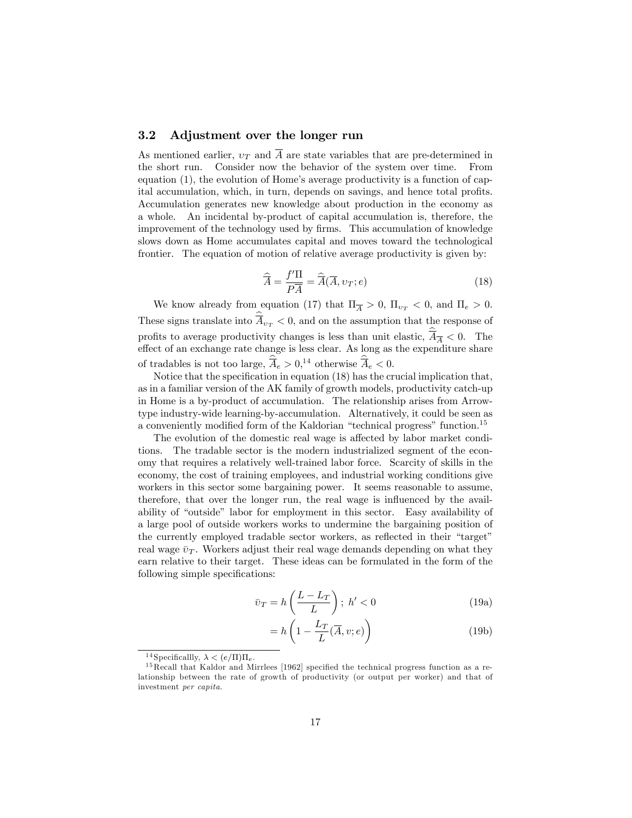#### 3.2 Adjustment over the longer run

As mentioned earlier,  $v_T$  and  $\overline{A}$  are state variables that are pre-determined in the short run. Consider now the behavior of the system over time. From equation  $(1)$ , the evolution of Home's average productivity is a function of capital accumulation, which, in turn, depends on savings, and hence total profits. Accumulation generates new knowledge about production in the economy as a whole. An incidental by-product of capital accumulation is, therefore, the improvement of the technology used by firms. This accumulation of knowledge slows down as Home accumulates capital and moves toward the technological frontier. The equation of motion of relative average productivity is given by:

$$
\widehat{\overline{A}} = \frac{f' \Pi}{P \overline{A}} = \widehat{\overline{A}}(\overline{A}, v_{\overline{A}}; e)
$$
\n(18)

We know already from equation (17) that  $\Pi_{\overline{A}} > 0$ ,  $\Pi_{v_T} < 0$ , and  $\Pi_e > 0$ . These signs translate into  $\overline{A}_{v_{\tau}} < 0$ , and on the assumption that the response of profits to average productivity changes is less than unit elastic,  $\overline{A}_{\overline{A}} < 0$ . The effect of an exchange rate change is less clear. As long as the expenditure share of tradables is not too large,  $\overline{A}_e > 0$ ,<sup>14</sup> otherwise  $\overline{A}_e < 0$ .

Notice that the specification in equation  $(18)$  has the crucial implication that, as in a familiar version of the AK family of growth models, productivity catch-up in Home is a by-product of accumulation. The relationship arises from Arrowtype industry-wide learning-by-accumulation. Alternatively, it could be seen as a conveniently modified form of the Kaldorian "technical progress" function.<sup>15</sup>

The evolution of the domestic real wage is affected by labor market conditions. The tradable sector is the modern industrialized segment of the economy that requires a relatively well-trained labor force. Scarcity of skills in the economy, the cost of training employees, and industrial working conditions give workers in this sector some bargaining power. It seems reasonable to assume, therefore, that over the longer run, the real wage is influenced by the availability of "outside" labor for employment in this sector. Easy availability of a large pool of outside workers works to undermine the bargaining position of the currently employed tradable sector workers, as reflected in their "target" real wage  $\bar{v}_T$ . Workers adjust their real wage demands depending on what they earn relative to their target. These ideas can be formulated in the form of the following simple specifications:

$$
\bar{v}_T = h\left(\frac{L - L_T}{L}\right); h' < 0 \tag{19a}
$$

$$
= h\left(1 - \frac{L_T}{L}(\overline{A}, v; e)\right) \tag{19b}
$$

<sup>&</sup>lt;sup>14</sup> Specificallly,  $\lambda < (e/\Pi)\Pi_e$ .

 $15$ Recall that Kaldor and Mirrlees [1962] specified the technical progress function as a relationship between the rate of growth of productivity (or output per worker) and that of investment per capita.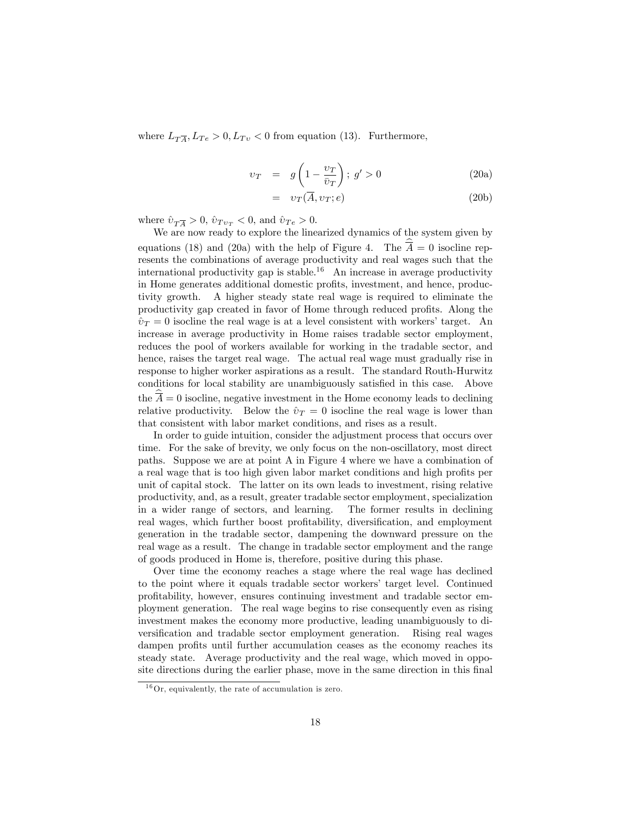where  $L_{T\overline{A}}, L_{Te} > 0, L_{Tv} < 0$  from equation (13). Furthermore,

$$
v_T = g\left(1 - \frac{v_T}{\bar{v}_T}\right); g' > 0 \tag{20a}
$$

$$
= v_T(\overline{A}, v_T; e) \tag{20b}
$$

where  $\hat{v}_{T\overline{A}} > 0$ ,  $\hat{v}_{Tv} < 0$ , and  $\hat{v}_{Te} > 0$ .

We are now ready to explore the linearized dynamics of the system given by equations (18) and (20a) with the help of Figure 4. The  $\overline{A} = 0$  isocline represents the combinations of average productivity and real wages such that the international productivity gap is stable.<sup>16</sup> An increase in average productivity in Home generates additional domestic profits, investment, and hence, productivity growth. A higher steady state real wage is required to eliminate the productivity gap created in favor of Home through reduced profits. Along the  $\hat{v}_T = 0$  isocline the real wage is at a level consistent with workers' target. An increase in average productivity in Home raises tradable sector employment, reduces the pool of workers available for working in the tradable sector, and hence, raises the target real wage. The actual real wage must gradually rise in response to higher worker aspirations as a result. The standard Routh-Hurwitz conditions for local stability are unambiguously satisfied in this case. Above the  $\overline{A} = 0$  isocline, negative investment in the Home economy leads to declining relative productivity. Below the  $\hat{v}_T = 0$  isocline the real wage is lower than that consistent with labor market conditions, and rises as a result.

In order to guide intuition, consider the adjustment process that occurs over time. For the sake of brevity, we only focus on the non-oscillatory, most direct paths. Suppose we are at point A in Figure 4 where we have a combination of a real wage that is too high given labor market conditions and high profits per unit of capital stock. The latter on its own leads to investment, rising relative productivity, and, as a result, greater tradable sector employment, specialization in a wider range of sectors, and learning. The former results in declining real wages, which further boost profitability, diversification, and employment generation in the tradable sector, dampening the downward pressure on the real wage as a result. The change in tradable sector employment and the range of goods produced in Home is, therefore, positive during this phase.

Over time the economy reaches a stage where the real wage has declined to the point where it equals tradable sector workersí target level. Continued profitability, however, ensures continuing investment and tradable sector employment generation. The real wage begins to rise consequently even as rising investment makes the economy more productive, leading unambiguously to diversification and tradable sector employment generation. Rising real wages dampen profits until further accumulation ceases as the economy reaches its steady state. Average productivity and the real wage, which moved in opposite directions during the earlier phase, move in the same direction in this final

 $16$ Or, equivalently, the rate of accumulation is zero.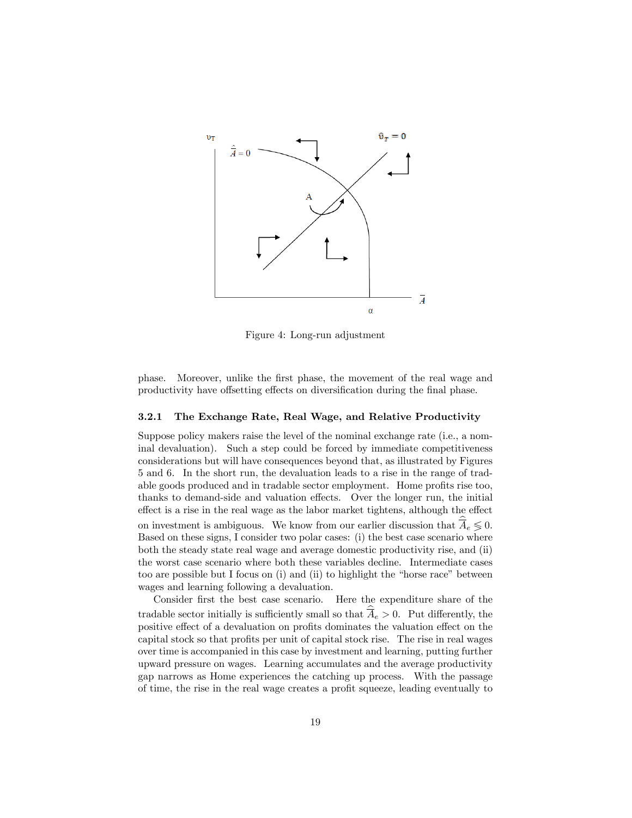

Figure 4: Long-run adjustment

phase. Moreover, unlike the Örst phase, the movement of the real wage and productivity have offsetting effects on diversification during the final phase.

#### 3.2.1 The Exchange Rate, Real Wage, and Relative Productivity

Suppose policy makers raise the level of the nominal exchange rate (i.e., a nominal devaluation). Such a step could be forced by immediate competitiveness considerations but will have consequences beyond that, as illustrated by Figures 5 and 6. In the short run, the devaluation leads to a rise in the range of tradable goods produced and in tradable sector employment. Home profits rise too, thanks to demand-side and valuation effects. Over the longer run, the initial effect is a rise in the real wage as the labor market tightens, although the effect on investment is ambiguous. We know from our earlier discussion that  $\overline{A}_e \leq 0$ . Based on these signs, I consider two polar cases: (i) the best case scenario where both the steady state real wage and average domestic productivity rise, and (ii) the worst case scenario where both these variables decline. Intermediate cases too are possible but I focus on  $(i)$  and  $(ii)$  to highlight the "horse race" between wages and learning following a devaluation.

Consider first the best case scenario. Here the expenditure share of the tradable sector initially is sufficiently small so that  $\hat{\overline{A}}_e > 0$ . Put differently, the positive effect of a devaluation on profits dominates the valuation effect on the capital stock so that profits per unit of capital stock rise. The rise in real wages over time is accompanied in this case by investment and learning, putting further upward pressure on wages. Learning accumulates and the average productivity gap narrows as Home experiences the catching up process. With the passage of time, the rise in the real wage creates a profit squeeze, leading eventually to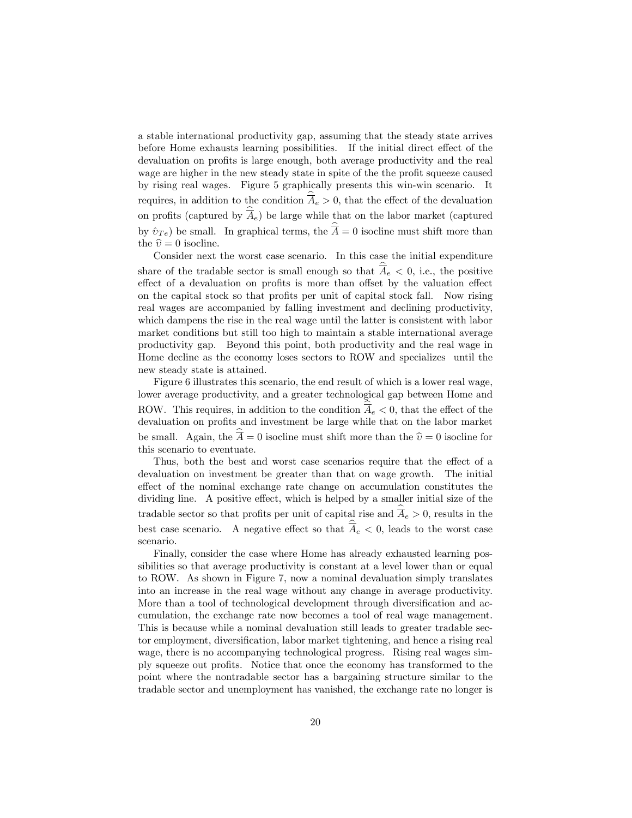a stable international productivity gap, assuming that the steady state arrives before Home exhausts learning possibilities. If the initial direct effect of the devaluation on profits is large enough, both average productivity and the real wage are higher in the new steady state in spite of the the profit squeeze caused by rising real wages. Figure 5 graphically presents this win-win scenario. It requires, in addition to the condition  $\overline{A}_e > 0$ , that the effect of the devaluation on profits (captured by  $\hat{\overline{A}}_e$ ) be large while that on the labor market (captured by  $\hat{v}_{Te}$ ) be small. In graphical terms, the  $\hat{A} = 0$  isocline must shift more than the  $\hat{v} = 0$  isocline.

Consider next the worst case scenario. In this case the initial expenditure share of the tradable sector is small enough so that  $\hat{\overline{A}}_e < 0$ , i.e., the positive effect of a devaluation on profits is more than offset by the valuation effect on the capital stock so that profits per unit of capital stock fall. Now rising real wages are accompanied by falling investment and declining productivity, which dampens the rise in the real wage until the latter is consistent with labor market conditions but still too high to maintain a stable international average productivity gap. Beyond this point, both productivity and the real wage in Home decline as the economy loses sectors to ROW and specializes until the new steady state is attained.

Figure 6 illustrates this scenario, the end result of which is a lower real wage, lower average productivity, and a greater technological gap between Home and ROW. This requires, in addition to the condition  $\hat{\overline{A}}_e < 0$ , that the effect of the devaluation on profits and investment be large while that on the labor market be small. Again, the  $\overline{A} = 0$  isocline must shift more than the  $\hat{v} = 0$  isocline for this scenario to eventuate.

Thus, both the best and worst case scenarios require that the effect of a devaluation on investment be greater than that on wage growth. The initial effect of the nominal exchange rate change on accumulation constitutes the dividing line. A positive effect, which is helped by a smaller initial size of the tradable sector so that profits per unit of capital rise and  $\hat{\overline{A}}_e > 0$ , results in the best case scenario. A negative effect so that  $A<sub>e</sub> < 0$ , leads to the worst case scenario.

Finally, consider the case where Home has already exhausted learning possibilities so that average productivity is constant at a level lower than or equal to ROW. As shown in Figure 7, now a nominal devaluation simply translates into an increase in the real wage without any change in average productivity. More than a tool of technological development through diversification and accumulation, the exchange rate now becomes a tool of real wage management. This is because while a nominal devaluation still leads to greater tradable sector employment, diversification, labor market tightening, and hence a rising real wage, there is no accompanying technological progress. Rising real wages simply squeeze out profits. Notice that once the economy has transformed to the point where the nontradable sector has a bargaining structure similar to the tradable sector and unemployment has vanished, the exchange rate no longer is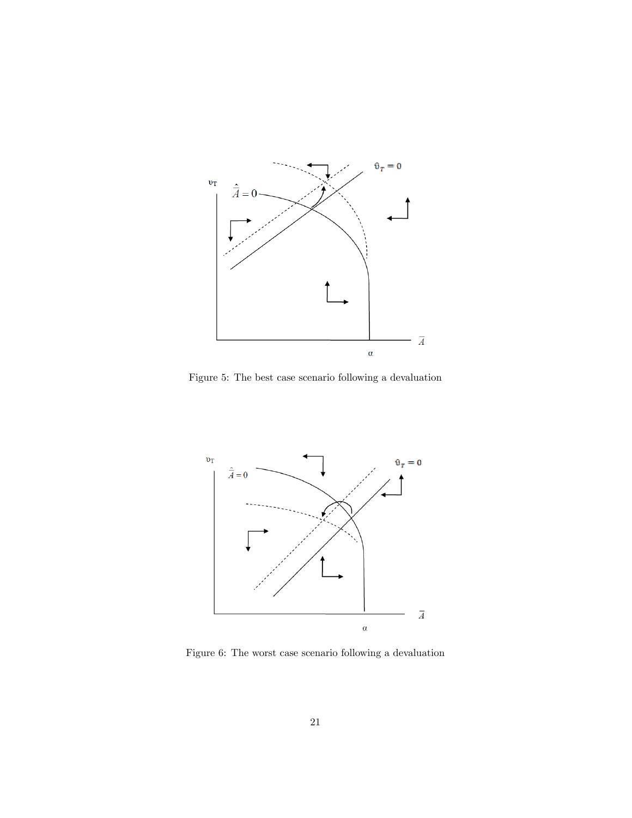

Figure 5: The best case scenario following a devaluation



Figure 6: The worst case scenario following a devaluation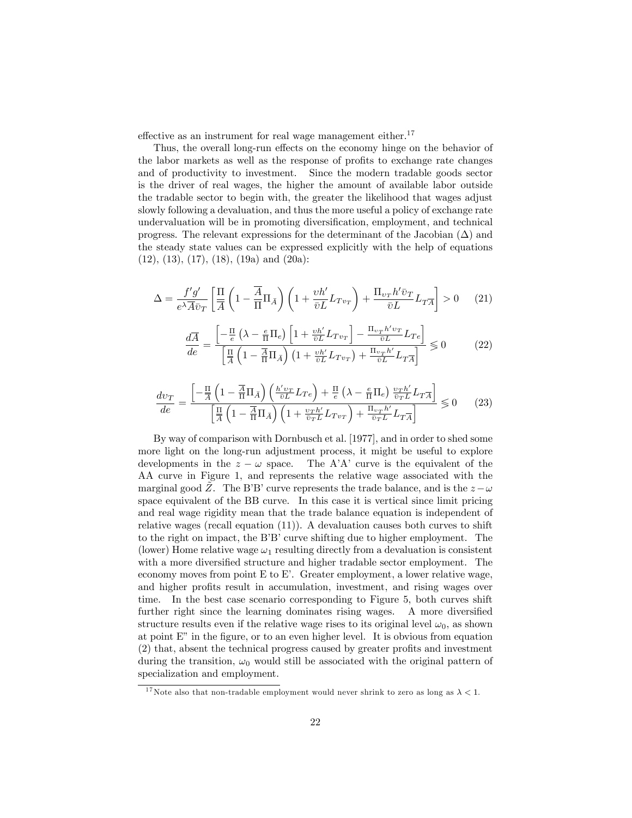effective as an instrument for real wage management either.<sup>17</sup>

Thus, the overall long-run effects on the economy hinge on the behavior of the labor markets as well as the response of profits to exchange rate changes and of productivity to investment. Since the modern tradable goods sector is the driver of real wages, the higher the amount of available labor outside the tradable sector to begin with, the greater the likelihood that wages adjust slowly following a devaluation, and thus the more useful a policy of exchange rate undervaluation will be in promoting diversification, employment, and technical progress. The relevant expressions for the determinant of the Jacobian  $(\Delta)$  and the steady state values can be expressed explicitly with the help of equations (12), (13), (17), (18), (19a) and (20a):

$$
\Delta = \frac{f'g'}{e^{\lambda} \overline{A} \overline{v}_T} \left[ \frac{\Pi}{\overline{A}} \left( 1 - \frac{\overline{A}}{\Pi} \Pi_{\overline{A}} \right) \left( 1 + \frac{v h'}{\overline{v} L} L_{T v_T} \right) + \frac{\Pi_{v_T} h' \overline{v}_T}{\overline{v} L} L_{T \overline{A}} \right] > 0 \tag{21}
$$

$$
\frac{d\overline{A}}{de} = \frac{\left[ -\frac{\Pi}{e} \left( \lambda - \frac{e}{\Pi} \Pi_e \right) \left[ 1 + \frac{v h'}{\bar{v} L} L_{T v_T} \right] - \frac{\Pi_{v_T} h' v_T}{\bar{v} L} L_{T e} \right]}{\left[ \frac{\Pi}{A} \left( 1 - \frac{\overline{A}}{\Pi} \Pi_{\bar{A}} \right) \left( 1 + \frac{v h'}{\bar{v} L} L_{T v_T} \right) + \frac{\Pi_{v_T} h'}{\bar{v} L} L_{T \bar{A}} \right]} \leqslant 0 \tag{22}
$$

$$
\frac{dv_T}{de} = \frac{\left[ -\frac{\Pi}{\overline{A}} \left( 1 - \frac{\overline{A}}{\Pi} \Pi_{\overline{A}} \right) \left( \frac{h'v_T}{\overline{v}L} L_{Te} \right) + \frac{\Pi}{e} \left( \lambda - \frac{e}{\Pi} \Pi_e \right) \frac{v_T h'}{\overline{v}_T L} L_{T\overline{A}} \right]}{\left[ \frac{\Pi}{\overline{A}} \left( 1 - \frac{\overline{A}}{\Pi} \Pi_{\overline{A}} \right) \left( 1 + \frac{v_T h'}{\overline{v}_T L} L_{Tv_T} \right) + \frac{\Pi v_T h'}{\overline{v}_T L} L_{T\overline{A}} \right]} \lesssim 0 \quad (23)
$$

By way of comparison with Dornbusch et al. [1977], and in order to shed some more light on the long-run adjustment process, it might be useful to explore developments in the  $z - \omega$  space. The A'A' curve is the equivalent of the AA curve in Figure 1, and represents the relative wage associated with the marginal good Z. The B'B' curve represents the trade balance, and is the  $z - \omega$ space equivalent of the BB curve. In this case it is vertical since limit pricing and real wage rigidity mean that the trade balance equation is independent of relative wages (recall equation (11)). A devaluation causes both curves to shift to the right on impact, the B'B' curve shifting due to higher employment. The (lower) Home relative wage  $\omega_1$  resulting directly from a devaluation is consistent with a more diversified structure and higher tradable sector employment. The economy moves from point  $E$  to  $E'$ . Greater employment, a lower relative wage, and higher profits result in accumulation, investment, and rising wages over time. In the best case scenario corresponding to Figure 5, both curves shift further right since the learning dominates rising wages. A more diversified structure results even if the relative wage rises to its original level  $\omega_0$ , as shown at point  $E^{\prime\prime}$  in the figure, or to an even higher level. It is obvious from equation  $(2)$  that, absent the technical progress caused by greater profits and investment during the transition,  $\omega_0$  would still be associated with the original pattern of specialization and employment.

<sup>&</sup>lt;sup>17</sup>Note also that non-tradable employment would never shrink to zero as long as  $\lambda < 1$ .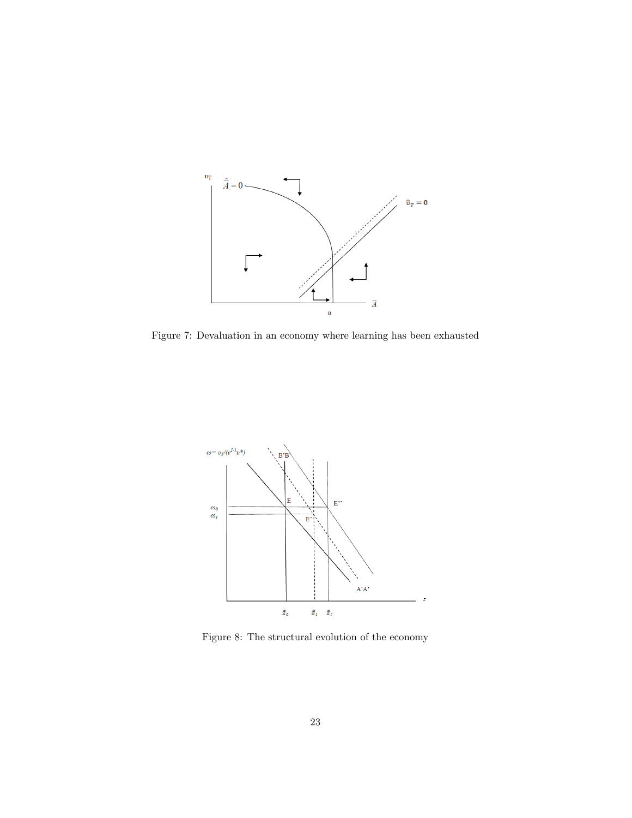

Figure 7: Devaluation in an economy where learning has been exhausted



Figure 8: The structural evolution of the economy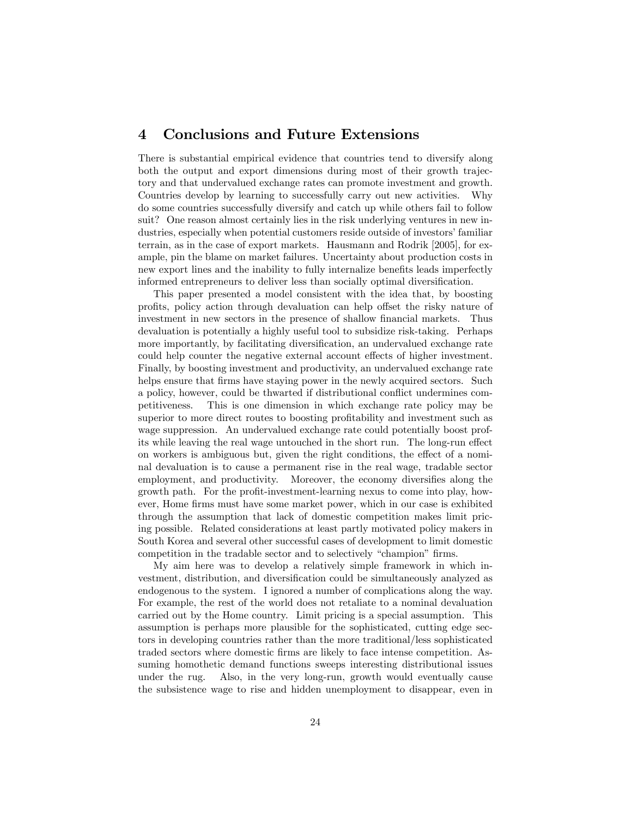#### 4 Conclusions and Future Extensions

There is substantial empirical evidence that countries tend to diversify along both the output and export dimensions during most of their growth trajectory and that undervalued exchange rates can promote investment and growth. Countries develop by learning to successfully carry out new activities. Why do some countries successfully diversify and catch up while others fail to follow suit? One reason almost certainly lies in the risk underlying ventures in new industries, especially when potential customers reside outside of investors' familiar terrain, as in the case of export markets. Hausmann and Rodrik [2005], for example, pin the blame on market failures. Uncertainty about production costs in new export lines and the inability to fully internalize benefits leads imperfectly informed entrepreneurs to deliver less than socially optimal diversification.

This paper presented a model consistent with the idea that, by boosting profits, policy action through devaluation can help offset the risky nature of investment in new sectors in the presence of shallow financial markets. Thus devaluation is potentially a highly useful tool to subsidize risk-taking. Perhaps more importantly, by facilitating diversification, an undervalued exchange rate could help counter the negative external account effects of higher investment. Finally, by boosting investment and productivity, an undervalued exchange rate helps ensure that firms have staying power in the newly acquired sectors. Such a policy, however, could be thwarted if distributional conflict undermines competitiveness. This is one dimension in which exchange rate policy may be superior to more direct routes to boosting profitability and investment such as wage suppression. An undervalued exchange rate could potentially boost profits while leaving the real wage untouched in the short run. The long-run effect on workers is ambiguous but, given the right conditions, the effect of a nominal devaluation is to cause a permanent rise in the real wage, tradable sector employment, and productivity. Moreover, the economy diversifies along the growth path. For the profit-investment-learning nexus to come into play, however, Home firms must have some market power, which in our case is exhibited through the assumption that lack of domestic competition makes limit pricing possible. Related considerations at least partly motivated policy makers in South Korea and several other successful cases of development to limit domestic competition in the tradable sector and to selectively "champion" firms.

My aim here was to develop a relatively simple framework in which investment, distribution, and diversification could be simultaneously analyzed as endogenous to the system. I ignored a number of complications along the way. For example, the rest of the world does not retaliate to a nominal devaluation carried out by the Home country. Limit pricing is a special assumption. This assumption is perhaps more plausible for the sophisticated, cutting edge sectors in developing countries rather than the more traditional/less sophisticated traded sectors where domestic firms are likely to face intense competition. Assuming homothetic demand functions sweeps interesting distributional issues under the rug. Also, in the very long-run, growth would eventually cause the subsistence wage to rise and hidden unemployment to disappear, even in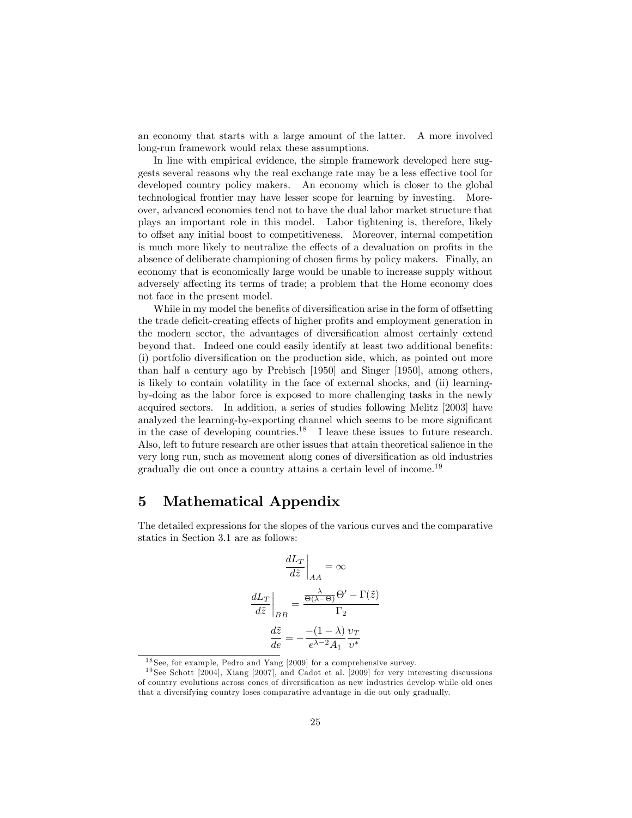an economy that starts with a large amount of the latter. A more involved long-run framework would relax these assumptions.

In line with empirical evidence, the simple framework developed here suggests several reasons why the real exchange rate may be a less effective tool for developed country policy makers. An economy which is closer to the global technological frontier may have lesser scope for learning by investing. Moreover, advanced economies tend not to have the dual labor market structure that plays an important role in this model. Labor tightening is, therefore, likely to offset any initial boost to competitiveness. Moreover, internal competition is much more likely to neutralize the effects of a devaluation on profits in the absence of deliberate championing of chosen firms by policy makers. Finally, an economy that is economically large would be unable to increase supply without adversely affecting its terms of trade; a problem that the Home economy does not face in the present model.

While in my model the benefits of diversification arise in the form of offsetting the trade deficit-creating effects of higher profits and employment generation in the modern sector, the advantages of diversification almost certainly extend beyond that. Indeed one could easily identify at least two additional benefits: (i) portfolio diversification on the production side, which, as pointed out more than half a century ago by Prebisch [1950] and Singer [1950], among others, is likely to contain volatility in the face of external shocks, and (ii) learningby-doing as the labor force is exposed to more challenging tasks in the newly acquired sectors. In addition, a series of studies following Melitz [2003] have analyzed the learning-by-exporting channel which seems to be more significant in the case of developing countries.<sup>18</sup> I leave these issues to future research. Also, left to future research are other issues that attain theoretical salience in the very long run, such as movement along cones of diversification as old industries gradually die out once a country attains a certain level of income.<sup>19</sup>

#### 5 Mathematical Appendix

The detailed expressions for the slopes of the various curves and the comparative statics in Section 3.1 are as follows:

$$
\frac{dL_T}{d\tilde{z}}\Big|_{AA} = \infty
$$

$$
\frac{dL_T}{d\tilde{z}}\Big|_{BB} = \frac{\frac{\lambda}{\Theta(\lambda-\Theta)}\Theta' - \Gamma(\tilde{z})}{\Gamma_2}
$$

$$
\frac{d\tilde{z}}{de} = -\frac{-(1-\lambda)}{e^{\lambda-2}A_1}\frac{\nu_T}{\nu^*}
$$

<sup>&</sup>lt;sup>18</sup> See, for example, Pedro and Yang [2009] for a comprehensive survey.

 $19$  See Schott [2004], Xiang [2007], and Cadot et al. [2009] for very interesting discussions of country evolutions across cones of diversification as new industries develop while old ones that a diversifying country loses comparative advantage in die out only gradually.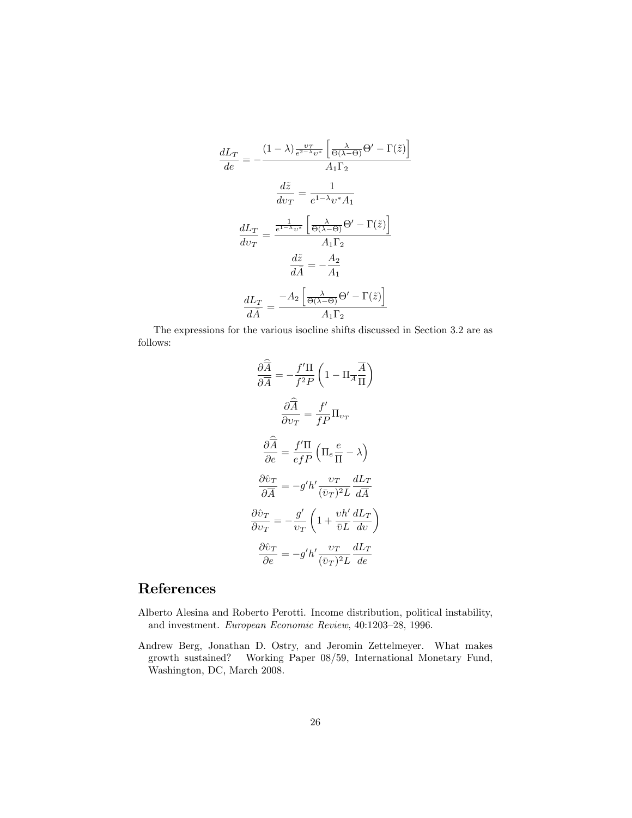$$
\frac{dL_T}{de} = -\frac{(1-\lambda)\frac{v_T}{e^{2-\lambda}v^*} \left[\frac{\lambda}{\Theta(\lambda-\Theta)}\Theta' - \Gamma(\tilde{z})\right]}{A_1 \Gamma_2}
$$
\n
$$
\frac{d\tilde{z}}{dv_T} = \frac{1}{e^{1-\lambda}v^* A_1}
$$
\n
$$
\frac{dL_T}{dv_T} = \frac{\frac{1}{e^{1-\lambda}v^*} \left[\frac{\lambda}{\Theta(\lambda-\Theta)}\Theta' - \Gamma(\tilde{z})\right]}{A_1 \Gamma_2}
$$
\n
$$
\frac{d\tilde{z}}{d\bar{A}} = -\frac{A_2}{A_1}
$$
\n
$$
\frac{dL_T}{d\bar{A}} = \frac{-A_2 \left[\frac{\lambda}{\Theta(\lambda-\Theta)}\Theta' - \Gamma(\tilde{z})\right]}{A_1 \Gamma_2}
$$

The expressions for the various isocline shifts discussed in Section 3.2 are as follows:

$$
\frac{\partial \widehat{\overline{A}}}{\partial \overline{A}} = -\frac{f' \Pi}{f^2 P} \left( 1 - \Pi_{\overline{A}} \frac{\overline{A}}{\Pi} \right)
$$

$$
\frac{\partial \widehat{\overline{A}}}{\partial v_T} = \frac{f'}{f P} \Pi_{v_T}
$$

$$
\frac{\partial \widehat{\overline{A}}}{\partial e} = \frac{f' \Pi}{ef P} \left( \Pi_e \frac{e}{\Pi} - \lambda \right)
$$

$$
\frac{\partial \widehat{v}_T}{\partial \overline{A}} = -g'h' \frac{v_T}{(\overline{v}_T)^2 L} \frac{dL_T}{d\overline{A}}
$$

$$
\frac{\partial \widehat{v}_T}{\partial v_T} = -\frac{g'}{v_T} \left( 1 + \frac{v h'}{\overline{v} L} \frac{dL_T}{d v} \right)
$$

$$
\frac{\partial \widehat{v}_T}{\partial e} = -g'h' \frac{v_T}{(\overline{v}_T)^2 L} \frac{dL_T}{d e}
$$

#### References

- Alberto Alesina and Roberto Perotti. Income distribution, political instability, and investment. European Economic Review, 40:1203-28, 1996.
- Andrew Berg, Jonathan D. Ostry, and Jeromin Zettelmeyer. What makes growth sustained? Working Paper 08/59, International Monetary Fund, Washington, DC, March 2008.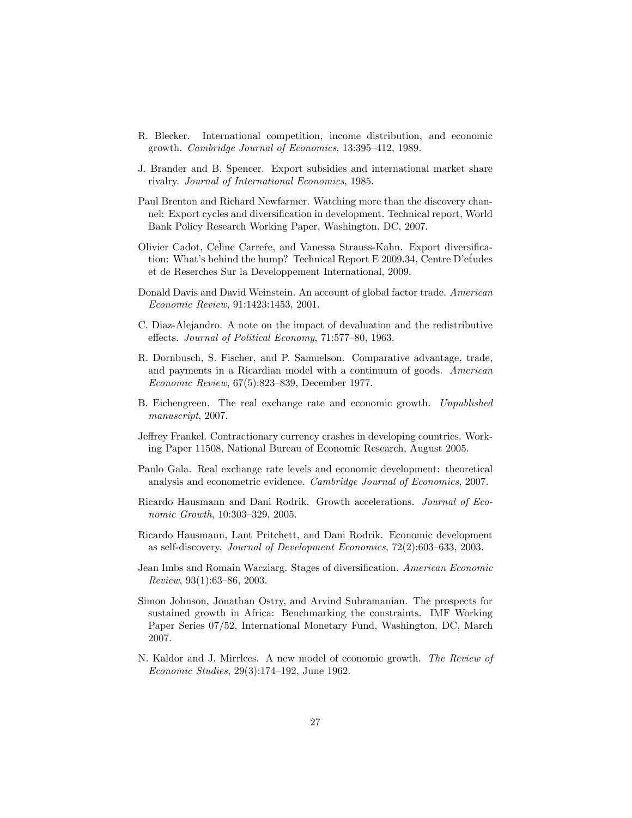- R. Blecker. International competition, income distribution, and economic growth. Cambridge Journal of Economics, 13:395-412, 1989.
- J. Brander and B. Spencer. Export subsidies and international market share rivalry. Journal of International Economics, 1985.
- Paul Brenton and Richard Newfarmer. Watching more than the discovery channel: Export cycles and diversification in development. Technical report, World Bank Policy Research Working Paper, Washington, DC, 2007.
- Olivier Cadot, Celine Carrefe, and Vanessa Strauss-Kahn. Export diversification: What's behind the hump? Technical Report E 2009.34, Centre D'etudes et de Reserches Sur la Developpement International, 2009.
- Donald Davis and David Weinstein. An account of global factor trade. American Economic Review, 91:1423:1453, 2001.
- C. Diaz-Alejandro. A note on the impact of devaluation and the redistributive effects. Journal of Political Economy,  $71:577-80$ , 1963.
- R. Dornbusch, S. Fischer, and P. Samuelson. Comparative advantage, trade, and payments in a Ricardian model with a continuum of goods. American  $Economic Review, 67(5):823–839, December 1977.$
- B. Eichengreen. The real exchange rate and economic growth. Unpublished manuscript, 2007.
- Jeffrey Frankel. Contractionary currency crashes in developing countries. Working Paper 11508, National Bureau of Economic Research, August 2005.
- Paulo Gala. Real exchange rate levels and economic development: theoretical analysis and econometric evidence. Cambridge Journal of Economics, 2007.
- Ricardo Hausmann and Dani Rodrik. Growth accelerations. Journal of Economic Growth,  $10:303-329$ ,  $2005$ .
- Ricardo Hausmann, Lant Pritchett, and Dani Rodrik. Economic development as self-discovery. Journal of Development Economics,  $72(2):603-633$ , 2003.
- Jean Imbs and Romain Wacziarg. Stages of diversification. American Economic  $Review, 93(1):63–86, 2003.$
- Simon Johnson, Jonathan Ostry, and Arvind Subramanian. The prospects for sustained growth in Africa: Benchmarking the constraints. IMF Working Paper Series 07/52, International Monetary Fund, Washington, DC, March 2007.
- N. Kaldor and J. Mirrlees. A new model of economic growth. The Review of Economic Studies,  $29(3):174-192$ , June 1962.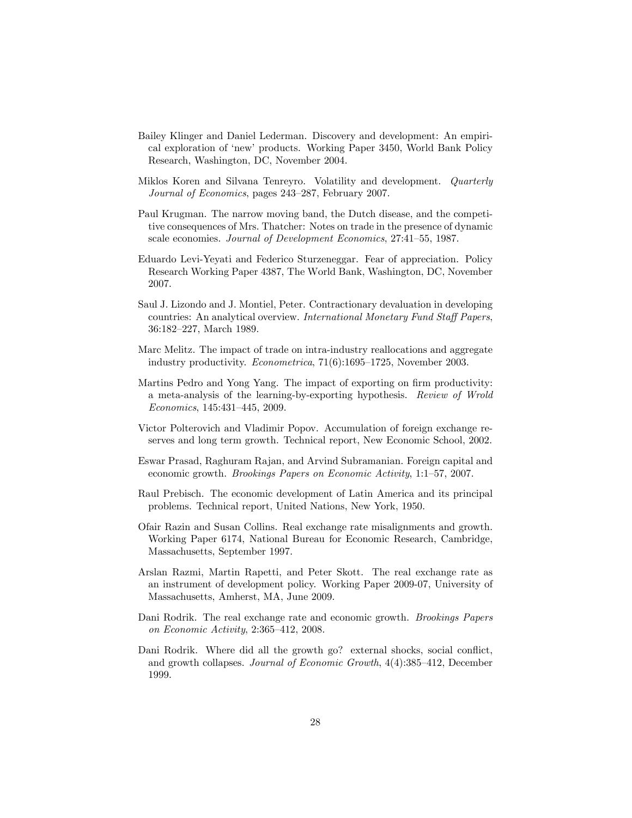- Bailey Klinger and Daniel Lederman. Discovery and development: An empirical exploration of 'new' products. Working Paper 3450, World Bank Policy Research, Washington, DC, November 2004.
- Miklos Koren and Silvana Tenreyro. Volatility and development. Quarterly Journal of Economics, pages 243-287, February 2007.
- Paul Krugman. The narrow moving band, the Dutch disease, and the competitive consequences of Mrs. Thatcher: Notes on trade in the presence of dynamic scale economies. Journal of Development Economics, 27:41-55, 1987.
- Eduardo Levi-Yeyati and Federico Sturzeneggar. Fear of appreciation. Policy Research Working Paper 4387, The World Bank, Washington, DC, November 2007.
- Saul J. Lizondo and J. Montiel, Peter. Contractionary devaluation in developing countries: An analytical overview. International Monetary Fund Staff Papers, 36:182-227, March 1989.
- Marc Melitz. The impact of trade on intra-industry reallocations and aggregate industry productivity. *Econometrica*,  $71(6):1695-1725$ , November 2003.
- Martins Pedro and Yong Yang. The impact of exporting on firm productivity: a meta-analysis of the learning-by-exporting hypothesis. Review of Wrold Economics, 145:431-445, 2009.
- Victor Polterovich and Vladimir Popov. Accumulation of foreign exchange reserves and long term growth. Technical report, New Economic School, 2002.
- Eswar Prasad, Raghuram Rajan, and Arvind Subramanian. Foreign capital and economic growth. Brookings Papers on Economic Activity,  $1:1-57$ , 2007.
- Raul Prebisch. The economic development of Latin America and its principal problems. Technical report, United Nations, New York, 1950.
- Ofair Razin and Susan Collins. Real exchange rate misalignments and growth. Working Paper 6174, National Bureau for Economic Research, Cambridge, Massachusetts, September 1997.
- Arslan Razmi, Martin Rapetti, and Peter Skott. The real exchange rate as an instrument of development policy. Working Paper 2009-07, University of Massachusetts, Amherst, MA, June 2009.
- Dani Rodrik. The real exchange rate and economic growth. Brookings Papers on Economic Activity,  $2:365-412$ ,  $2008$ .
- Dani Rodrik. Where did all the growth go? external shocks, social conflict, and growth collapses. *Journal of Economic Growth*,  $4(4):385-412$ , December 1999.